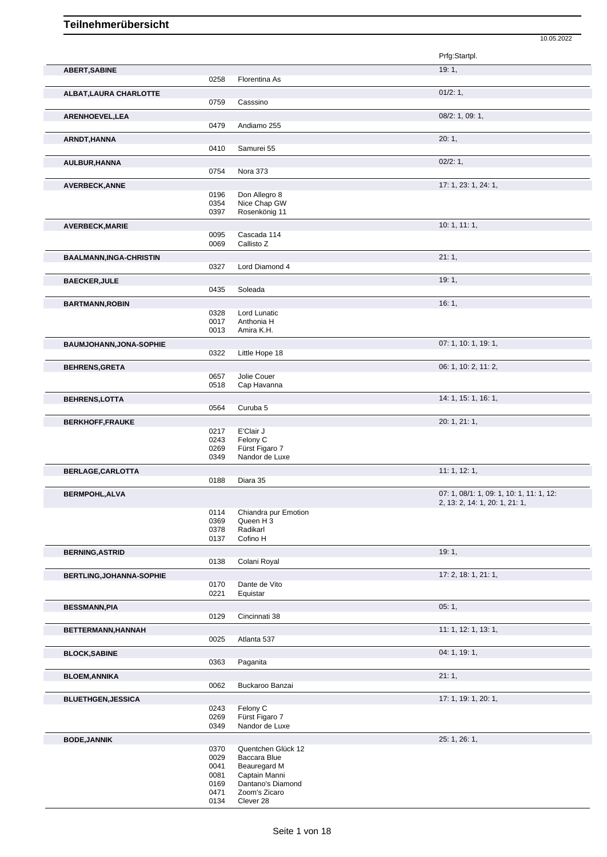|                                |              |                                              | Prfg:Startpl.                            |
|--------------------------------|--------------|----------------------------------------------|------------------------------------------|
| <b>ABERT, SABINE</b>           |              |                                              | 19:1,                                    |
|                                | 0258         | Florentina As                                |                                          |
| ALBAT, LAURA CHARLOTTE         |              |                                              | 01/2: 1,                                 |
|                                | 0759         | Casssino                                     |                                          |
| ARENHOEVEL, LEA                |              |                                              | 08/2: 1, 09: 1,                          |
|                                | 0479         | Andiamo 255                                  |                                          |
| ARNDT, HANNA                   |              |                                              | 20:1,                                    |
|                                | 0410         | Samurei 55                                   |                                          |
| AULBUR, HANNA                  |              |                                              | 02/2:1,                                  |
|                                | 0754         | Nora 373                                     |                                          |
| <b>AVERBECK, ANNE</b>          |              |                                              | 17: 1, 23: 1, 24: 1,                     |
|                                | 0196         | Don Allegro 8                                |                                          |
|                                | 0354<br>0397 | Nice Chap GW<br>Rosenkönig 11                |                                          |
|                                |              |                                              | 10: 1, 11: 1,                            |
| AVERBECK, MARIE                | 0095         | Cascada 114                                  |                                          |
|                                | 0069         | Callisto Z                                   |                                          |
| <b>BAALMANN,INGA-CHRISTIN</b>  |              |                                              | 21:1,                                    |
|                                | 0327         | Lord Diamond 4                               |                                          |
| <b>BAECKER, JULE</b>           |              |                                              | 19:1,                                    |
|                                | 0435         | Soleada                                      |                                          |
| <b>BARTMANN, ROBIN</b>         |              |                                              | 16:1,                                    |
|                                | 0328         | Lord Lunatic                                 |                                          |
|                                | 0017         | Anthonia H                                   |                                          |
|                                | 0013         | Amira K.H.                                   |                                          |
| <b>BAUMJOHANN, JONA-SOPHIE</b> |              |                                              | 07: 1, 10: 1, 19: 1,                     |
|                                | 0322         | Little Hope 18                               |                                          |
| <b>BEHRENS, GRETA</b>          |              |                                              | 06: 1, 10: 2, 11: 2,                     |
|                                | 0657<br>0518 | Jolie Couer<br>Cap Havanna                   |                                          |
|                                |              |                                              |                                          |
| <b>BEHRENS,LOTTA</b>           | 0564         | Curuba 5                                     | 14: 1, 15: 1, 16: 1,                     |
|                                |              |                                              |                                          |
| <b>BERKHOFF,FRAUKE</b>         | 0217         | E'Clair J                                    | 20: 1, 21: 1,                            |
|                                | 0243         | Felony C                                     |                                          |
|                                | 0269         | Fürst Figaro 7                               |                                          |
|                                | 0349         | Nandor de Luxe                               |                                          |
| BERLAGE, CARLOTTA              |              |                                              | 11: 1, 12: 1,                            |
|                                | 0188         | Diara 35                                     |                                          |
| <b>BERMPOHL, ALVA</b>          |              |                                              | 07: 1, 08/1: 1, 09: 1, 10: 1, 11: 1, 12: |
|                                |              |                                              | 2, 13: 2, 14: 1, 20: 1, 21: 1,           |
|                                | 0114<br>0369 | Chiandra pur Emotion<br>Queen H <sub>3</sub> |                                          |
|                                | 0378         | Radikarl                                     |                                          |
|                                | 0137         | Cofino H                                     |                                          |
| <b>BERNING, ASTRID</b>         |              |                                              | 19:1,                                    |
|                                | 0138         | Colani Royal                                 |                                          |
| BERTLING, JOHANNA-SOPHIE       |              |                                              | 17: 2, 18: 1, 21: 1,                     |
|                                | 0170         | Dante de Vito                                |                                          |
|                                | 0221         | Equistar                                     |                                          |
| <b>BESSMANN, PIA</b>           |              |                                              | 05:1,                                    |
|                                | 0129         | Cincinnati 38                                |                                          |
| BETTERMANN, HANNAH             |              |                                              | 11: 1, 12: 1, 13: 1,                     |
|                                | 0025         | Atlanta 537                                  |                                          |
| <b>BLOCK, SABINE</b>           |              |                                              | 04: 1, 19: 1,                            |
|                                | 0363         | Paganita                                     |                                          |
| <b>BLOEM, ANNIKA</b>           |              |                                              | 21:1,                                    |
|                                | 0062         | Buckaroo Banzai                              |                                          |
| <b>BLUETHGEN, JESSICA</b>      |              |                                              | 17: 1, 19: 1, 20: 1,                     |
|                                | 0243<br>0269 | Felony C<br>Fürst Figaro 7                   |                                          |
|                                | 0349         | Nandor de Luxe                               |                                          |
| <b>BODE, JANNIK</b>            |              |                                              | 25: 1, 26: 1,                            |
|                                | 0370         | Quentchen Glück 12                           |                                          |
|                                | 0029         | Baccara Blue                                 |                                          |
|                                | 0041         | Beauregard M                                 |                                          |
|                                | 0081         | Captain Manni                                |                                          |

10.05.2022

 Dantano's Diamond Zoom's Zicaro Clever 28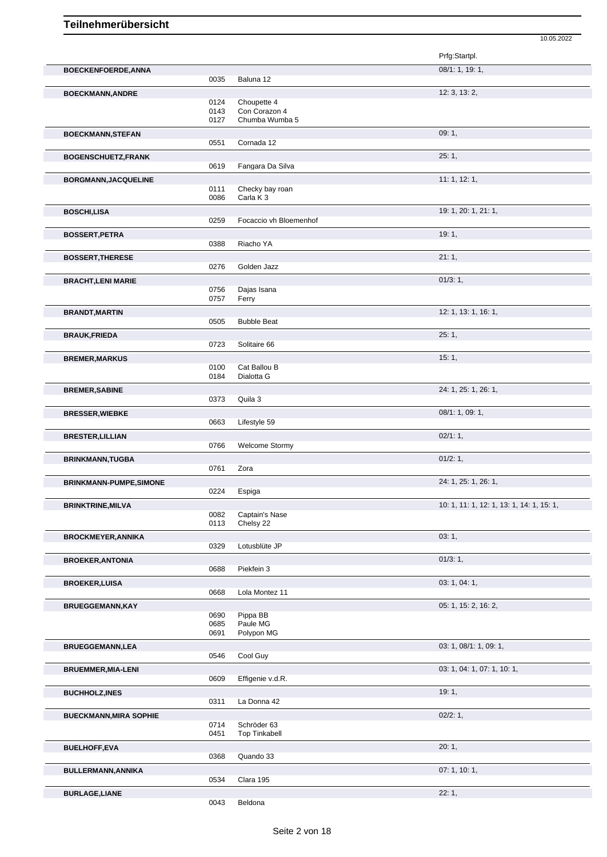|                               |              |                                 | 10.05.2022                                |
|-------------------------------|--------------|---------------------------------|-------------------------------------------|
|                               |              |                                 | Prfg:Startpl.                             |
| BOECKENFOERDE, ANNA           |              |                                 | 08/1: 1, 19: 1,                           |
|                               | 0035         | Baluna 12                       |                                           |
| <b>BOECKMANN, ANDRE</b>       |              |                                 | 12: 3, 13: 2,                             |
|                               | 0124         | Choupette 4                     |                                           |
|                               | 0143<br>0127 | Con Corazon 4<br>Chumba Wumba 5 |                                           |
|                               |              |                                 | 09:1,                                     |
| <b>BOECKMANN, STEFAN</b>      | 0551         | Cornada 12                      |                                           |
| <b>BOGENSCHUETZ,FRANK</b>     |              |                                 | 25:1,                                     |
|                               | 0619         | Fangara Da Silva                |                                           |
| BORGMANN, JACQUELINE          |              |                                 | 11: 1, 12: 1,                             |
|                               | 0111         | Checky bay roan                 |                                           |
|                               | 0086         | Carla K <sub>3</sub>            |                                           |
| <b>BOSCHI,LISA</b>            |              |                                 | 19: 1, 20: 1, 21: 1,                      |
|                               | 0259         | Focaccio vh Bloemenhof          |                                           |
| <b>BOSSERT, PETRA</b>         |              |                                 | 19:1,                                     |
|                               | 0388         | Riacho YA                       |                                           |
| <b>BOSSERT, THERESE</b>       |              |                                 | 21:1,                                     |
|                               | 0276         | Golden Jazz                     |                                           |
| <b>BRACHT, LENI MARIE</b>     |              |                                 | 01/3:1,                                   |
|                               | 0756         | Dajas Isana                     |                                           |
|                               | 0757         | Ferry                           |                                           |
| <b>BRANDT, MARTIN</b>         | 0505         | <b>Bubble Beat</b>              | 12: 1, 13: 1, 16: 1,                      |
|                               |              |                                 |                                           |
| <b>BRAUK, FRIEDA</b>          |              |                                 | 25:1,                                     |
|                               | 0723         | Solitaire 66                    |                                           |
| <b>BREMER, MARKUS</b>         |              |                                 | 15:1,                                     |
|                               | 0100<br>0184 | Cat Ballou B<br>Dialotta G      |                                           |
|                               |              |                                 | 24: 1, 25: 1, 26: 1,                      |
| <b>BREMER, SABINE</b>         | 0373         | Quila 3                         |                                           |
|                               |              |                                 | 08/1: 1, 09: 1,                           |
| <b>BRESSER, WIEBKE</b>        | 0663         | Lifestyle 59                    |                                           |
| <b>BRESTER, LILLIAN</b>       |              |                                 | 02/1:1,                                   |
|                               | 0766         | <b>Welcome Stormy</b>           |                                           |
| <b>BRINKMANN, TUGBA</b>       |              |                                 | 01/2:1,                                   |
|                               | 0761         | Zora                            |                                           |
| <b>BRINKMANN-PUMPE,SIMONE</b> |              |                                 | 24: 1, 25: 1, 26: 1,                      |
|                               | 0224         | Espiga                          |                                           |
| <b>BRINKTRINE, MILVA</b>      |              |                                 | 10: 1, 11: 1, 12: 1, 13: 1, 14: 1, 15: 1, |
|                               | 0082         | Captain's Nase                  |                                           |
|                               | 0113         | Chelsy 22                       |                                           |
| <b>BROCKMEYER, ANNIKA</b>     |              |                                 | 03:1,                                     |
|                               | 0329         | Lotusblüte JP                   |                                           |
| <b>BROEKER, ANTONIA</b>       |              |                                 | 01/3:1,                                   |
|                               | 0688         | Piekfein 3                      |                                           |
| <b>BROEKER, LUISA</b>         |              |                                 | 03: 1, 04: 1,                             |
|                               | 0668         | Lola Montez 11                  |                                           |
| <b>BRUEGGEMANN,KAY</b>        |              |                                 | 05: 1, 15: 2, 16: 2,                      |
|                               | 0690<br>0685 | Pippa BB<br>Paule MG            |                                           |
|                               | 0691         | Polypon MG                      |                                           |
| <b>BRUEGGEMANN,LEA</b>        |              |                                 | 03: 1, 08/1: 1, 09: 1,                    |
|                               | 0546         | Cool Guy                        |                                           |
| <b>BRUEMMER, MIA-LENI</b>     |              |                                 | 03: 1, 04: 1, 07: 1, 10: 1,               |
|                               | 0609         | Effigenie v.d.R.                |                                           |
| <b>BUCHHOLZ, INES</b>         |              |                                 | 19:1,                                     |
|                               | 0311         | La Donna 42                     |                                           |
| <b>BUECKMANN, MIRA SOPHIE</b> |              |                                 | 02/2:1,                                   |
|                               | 0714         | Schröder 63                     |                                           |
|                               | 0451         | <b>Top Tinkabell</b>            |                                           |
| <b>BUELHOFF, EVA</b>          |              |                                 | 20:1,                                     |
|                               | 0368         | Quando 33                       |                                           |
| BULLERMANN, ANNIKA            |              |                                 | 07: 1, 10: 1,                             |
|                               | 0534         | Clara 195                       |                                           |
| <b>BURLAGE,LIANE</b>          |              |                                 | 22:1,                                     |
|                               | 0043         | Beldona                         |                                           |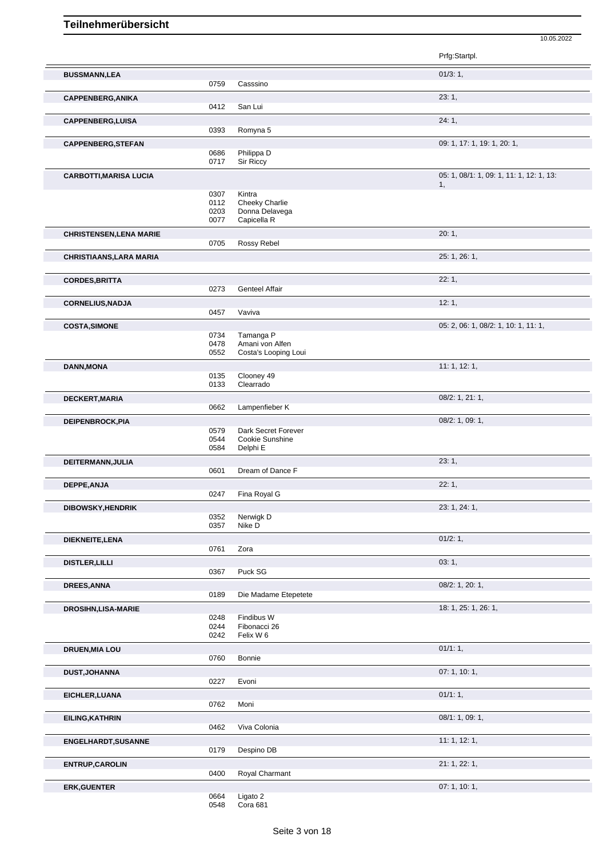|                                |              |                          | Prfg:Startpl.                            |
|--------------------------------|--------------|--------------------------|------------------------------------------|
| <b>BUSSMANN,LEA</b>            |              |                          | 01/3:1,                                  |
|                                | 0759         | Casssino                 |                                          |
| <b>CAPPENBERG, ANIKA</b>       | 0412         | San Lui                  | 23:1,                                    |
|                                |              |                          |                                          |
| CAPPENBERG, LUISA              | 0393         | Romyna 5                 | 24:1,                                    |
|                                |              |                          | 09: 1, 17: 1, 19: 1, 20: 1,              |
| <b>CAPPENBERG, STEFAN</b>      | 0686         | Philippa D               |                                          |
|                                | 0717         | Sir Riccy                |                                          |
| <b>CARBOTTI, MARISA LUCIA</b>  |              |                          | 05: 1, 08/1: 1, 09: 1, 11: 1, 12: 1, 13: |
|                                |              |                          | 1,                                       |
|                                | 0307<br>0112 | Kintra<br>Cheeky Charlie |                                          |
|                                | 0203         | Donna Delavega           |                                          |
|                                | 0077         | Capicella R              |                                          |
| <b>CHRISTENSEN, LENA MARIE</b> |              |                          | 20:1,                                    |
|                                | 0705         | Rossy Rebel              |                                          |
| <b>CHRISTIAANS, LARA MARIA</b> |              |                          | 25: 1, 26: 1,                            |
|                                |              |                          |                                          |
| <b>CORDES, BRITTA</b>          |              |                          | 22:1,                                    |
|                                | 0273         | Genteel Affair           |                                          |
| <b>CORNELIUS, NADJA</b>        | 0457         | Vaviva                   | 12:1,                                    |
|                                |              |                          |                                          |
| <b>COSTA, SIMONE</b>           | 0734         | Tamanga P                | 05: 2, 06: 1, 08/2: 1, 10: 1, 11: 1,     |
|                                | 0478         | Amani von Alfen          |                                          |
|                                | 0552         | Costa's Looping Loui     |                                          |
| <b>DANN, MONA</b>              |              |                          | 11:1, 12:1,                              |
|                                | 0135         | Clooney 49               |                                          |
|                                | 0133         | Clearrado                |                                          |
| DECKERT, MARIA                 |              |                          | 08/2: 1, 21: 1,                          |
|                                | 0662         | Lampenfieber K           |                                          |
| DEIPENBROCK, PIA               | 0579         | Dark Secret Forever      | 08/2: 1, 09: 1,                          |
|                                | 0544         | Cookie Sunshine          |                                          |
|                                | 0584         | Delphi E                 |                                          |
| DEITERMANN, JULIA              |              |                          | 23:1,                                    |
|                                | 0601         | Dream of Dance F         |                                          |
| DEPPE, ANJA                    |              |                          | 22:1,                                    |
|                                | 0247         | Fina Royal G             |                                          |
| DIBOWSKY, HENDRIK              |              |                          | 23: 1, 24: 1,                            |
|                                | 0352<br>0357 | Nerwigk D<br>Nike D      |                                          |
|                                |              |                          | 01/2:1,                                  |
| DIEKNEITE, LENA                | 0761         | Zora                     |                                          |
|                                |              |                          | 03:1,                                    |
| <b>DISTLER, LILLI</b>          | 0367         | Puck SG                  |                                          |
| DREES, ANNA                    |              |                          | 08/2: 1, 20: 1,                          |
|                                | 0189         | Die Madame Etepetete     |                                          |
| <b>DROSIHN, LISA-MARIE</b>     |              |                          | 18: 1, 25: 1, 26: 1,                     |
|                                | 0248         | Findibus W               |                                          |
|                                | 0244         | Fibonacci 26             |                                          |
|                                | 0242         | Felix W 6                |                                          |
| <b>DRUEN, MIA LOU</b>          |              |                          | 01/1:1,                                  |
|                                | 0760         | Bonnie                   |                                          |
| <b>DUST, JOHANNA</b>           | 0227         | Evoni                    | 07:1, 10:1,                              |
|                                |              |                          |                                          |
| EICHLER, LUANA                 | 0762         | Moni                     | 01/1:1,                                  |
|                                |              |                          |                                          |
| EILING, KATHRIN                | 0462         | Viva Colonia             | 08/1: 1, 09: 1,                          |
|                                |              |                          |                                          |
| ENGELHARDT, SUSANNE            | 0179         | Despino DB               | 11:1, 12:1,                              |
|                                |              |                          | 21: 1, 22: 1,                            |
| <b>ENTRUP, CAROLIN</b>         | 0400         | Royal Charmant           |                                          |
| <b>ERK, GUENTER</b>            |              |                          | 07: 1, 10: 1,                            |
|                                | 0664         | Ligato 2                 |                                          |
|                                | 0548         | Cora 681                 |                                          |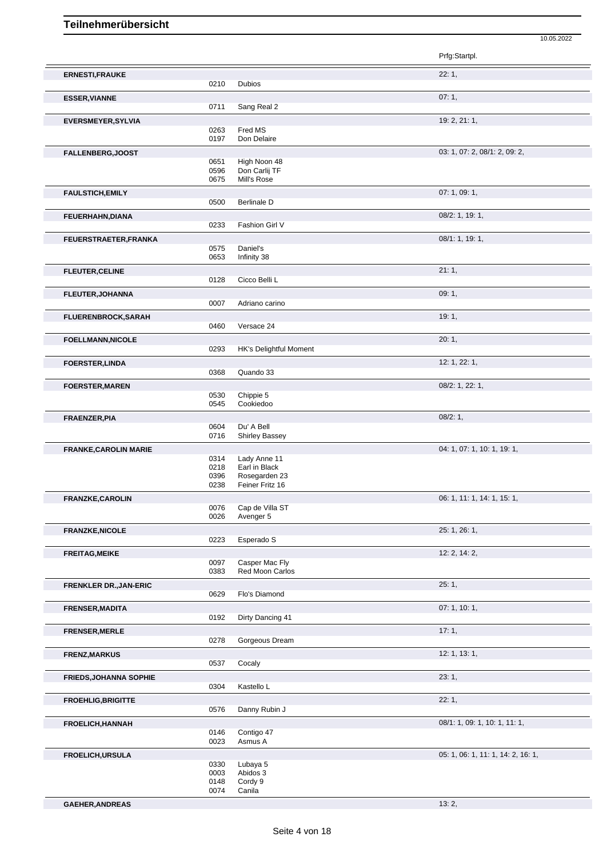|                               |              |                                  | Prfg:Startpl.                      |
|-------------------------------|--------------|----------------------------------|------------------------------------|
| <b>ERNESTI, FRAUKE</b>        |              |                                  | 22:1,                              |
|                               | 0210         | <b>Dubios</b>                    |                                    |
| <b>ESSER, VIANNE</b>          |              |                                  | 07:1,                              |
|                               | 0711         | Sang Real 2                      |                                    |
| <b>EVERSMEYER, SYLVIA</b>     |              |                                  | 19: 2, 21: 1,                      |
|                               | 0263         | Fred MS                          |                                    |
|                               | 0197         | Don Delaire                      |                                    |
| FALLENBERG, JOOST             |              |                                  | 03: 1, 07: 2, 08/1: 2, 09: 2,      |
|                               | 0651<br>0596 | High Noon 48<br>Don Carlij TF    |                                    |
|                               | 0675         | Mill's Rose                      |                                    |
| <b>FAULSTICH, EMILY</b>       |              |                                  | 07: 1, 09: 1,                      |
|                               | 0500         | <b>Berlinale D</b>               |                                    |
|                               |              |                                  | 08/2: 1, 19: 1,                    |
| FEUERHAHN, DIANA              | 0233         | Fashion Girl V                   |                                    |
|                               |              |                                  | 08/1: 1, 19: 1,                    |
| FEUERSTRAETER, FRANKA         | 0575         | Daniel's                         |                                    |
|                               | 0653         | Infinity 38                      |                                    |
| <b>FLEUTER, CELINE</b>        |              |                                  | 21:1,                              |
|                               | 0128         | Cicco Belli L                    |                                    |
| <b>FLEUTER, JOHANNA</b>       |              |                                  | 09:1,                              |
|                               | 0007         | Adriano carino                   |                                    |
|                               |              |                                  | 19:1,                              |
| <b>FLUERENBROCK, SARAH</b>    | 0460         | Versace 24                       |                                    |
|                               |              |                                  |                                    |
| <b>FOELLMANN, NICOLE</b>      | 0293         | HK's Delightful Moment           | 20:1,                              |
|                               |              |                                  |                                    |
| <b>FOERSTER, LINDA</b>        | 0368         | Quando 33                        | 12: 1, 22: 1,                      |
|                               |              |                                  |                                    |
| <b>FOERSTER, MAREN</b>        | 0530         | Chippie 5                        | 08/2: 1, 22: 1,                    |
|                               | 0545         | Cookiedoo                        |                                    |
| FRAENZER, PIA                 |              |                                  | 08/2:1,                            |
|                               | 0604         | Du' A Bell                       |                                    |
|                               | 0716         | <b>Shirley Bassey</b>            |                                    |
| <b>FRANKE, CAROLIN MARIE</b>  |              |                                  | 04: 1, 07: 1, 10: 1, 19: 1,        |
|                               | 0314         | Lady Anne 11                     |                                    |
|                               | 0218         | Earl in Black                    |                                    |
|                               | 0396<br>0238 | Rosegarden 23<br>Feiner Fritz 16 |                                    |
|                               |              |                                  |                                    |
| <b>FRANZKE, CAROLIN</b>       |              | Cap de Villa ST                  | 06: 1, 11: 1, 14: 1, 15: 1,        |
|                               | 0076<br>0026 | Avenger 5                        |                                    |
|                               |              |                                  | 25: 1, 26: 1,                      |
| <b>FRANZKE, NICOLE</b>        | 0223         | Esperado S                       |                                    |
|                               |              |                                  | 12: 2, 14: 2,                      |
| <b>FREITAG, MEIKE</b>         | 0097         | Casper Mac Fly                   |                                    |
|                               | 0383         | Red Moon Carlos                  |                                    |
| FRENKLER DR., JAN-ERIC        |              |                                  | 25:1,                              |
|                               | 0629         | Flo's Diamond                    |                                    |
| FRENSER, MADITA               |              |                                  | 07:1, 10:1,                        |
|                               | 0192         | Dirty Dancing 41                 |                                    |
| FRENSER, MERLE                |              |                                  | 17:1,                              |
|                               | 0278         | Gorgeous Dream                   |                                    |
|                               |              |                                  | 12: 1, 13: 1,                      |
| <b>FRENZ, MARKUS</b>          | 0537         | Cocaly                           |                                    |
|                               |              |                                  |                                    |
| <b>FRIEDS, JOHANNA SOPHIE</b> | 0304         | Kastello L                       | 23:1,                              |
|                               |              |                                  |                                    |
| FROEHLIG, BRIGITTE            | 0576         | Danny Rubin J                    | 22:1,                              |
|                               |              |                                  |                                    |
| FROELICH, HANNAH              |              |                                  | 08/1: 1, 09: 1, 10: 1, 11: 1,      |
|                               | 0146<br>0023 | Contigo 47<br>Asmus A            |                                    |
|                               |              |                                  |                                    |
| <b>FROELICH, URSULA</b>       |              |                                  | 05: 1, 06: 1, 11: 1, 14: 2, 16: 1, |

10.05.2022

0330 Lubaya 5 0003 Abidos 3 0148 Cordy 9 0074 Canila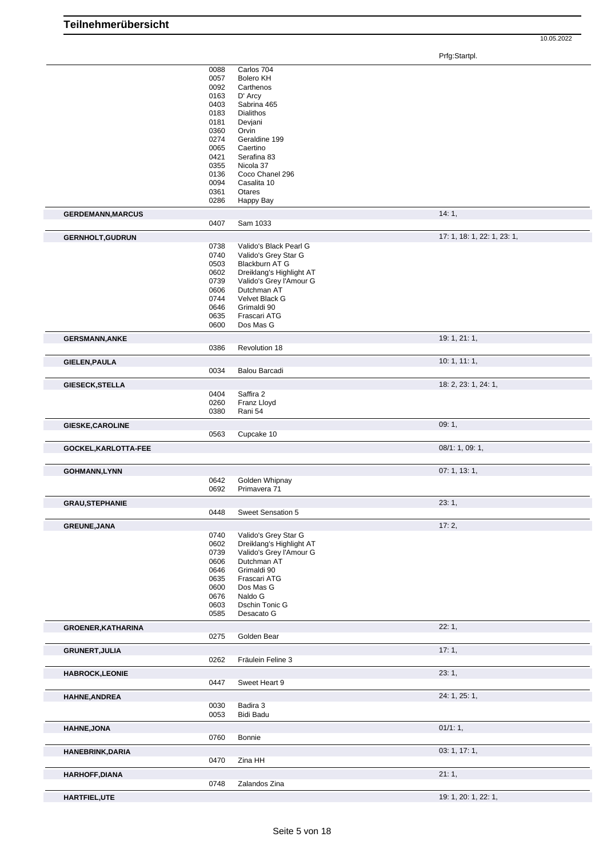Prfg:Startpl.

|                           | 0088<br>0057 | Carlos 704<br><b>Bolero KH</b> |                             |
|---------------------------|--------------|--------------------------------|-----------------------------|
|                           | 0092         | Carthenos                      |                             |
|                           | 0163         | D' Arcy                        |                             |
|                           | 0403         | Sabrina 465                    |                             |
|                           | 0183         | <b>Dialithos</b>               |                             |
|                           | 0181         | Devjani                        |                             |
|                           | 0360         | Orvin                          |                             |
|                           | 0274         | Geraldine 199                  |                             |
|                           | 0065         | Caertino                       |                             |
|                           | 0421         | Serafina 83                    |                             |
|                           | 0355         | Nicola 37                      |                             |
|                           | 0136         | Coco Chanel 296                |                             |
|                           | 0094         | Casalita 10                    |                             |
|                           | 0361         | Otares                         |                             |
|                           | 0286         | Happy Bay                      |                             |
|                           |              |                                |                             |
| <b>GERDEMANN, MARCUS</b>  | 0407         | Sam 1033                       | 14:1,                       |
| <b>GERNHOLT, GUDRUN</b>   |              |                                | 17: 1, 18: 1, 22: 1, 23: 1, |
|                           | 0738         | Valido's Black Pearl G         |                             |
|                           | 0740         | Valido's Grey Star G           |                             |
|                           | 0503         | Blackburn AT G                 |                             |
|                           | 0602         | Dreiklang's Highlight AT       |                             |
|                           | 0739         | Valido's Grey l'Amour G        |                             |
|                           | 0606         | Dutchman AT                    |                             |
|                           | 0744         | Velvet Black G                 |                             |
|                           | 0646         | Grimaldi 90                    |                             |
|                           | 0635         | Frascari ATG                   |                             |
|                           | 0600         | Dos Mas G                      |                             |
|                           |              |                                | 19: 1, 21: 1,               |
| <b>GERSMANN, ANKE</b>     | 0386         | Revolution 18                  |                             |
|                           |              |                                |                             |
| <b>GIELEN, PAULA</b>      | 0034         | <b>Balou Barcadi</b>           | 10:1, 11:1,                 |
|                           |              |                                |                             |
| <b>GIESECK, STELLA</b>    |              |                                | 18: 2, 23: 1, 24: 1,        |
|                           | 0404         | Saffira 2                      |                             |
|                           | 0260         | Franz Lloyd                    |                             |
|                           | 0380         | Rani 54                        |                             |
| GIESKE, CAROLINE          |              |                                | 09:1,                       |
|                           | 0563         | Cupcake 10                     |                             |
| GOCKEL, KARLOTTA-FEE      |              |                                | 08/1: 1, 09: 1,             |
|                           |              |                                | 07: 1, 13: 1,               |
| <b>GOHMANN,LYNN</b>       | 0642         | Golden Whipnay                 |                             |
|                           | 0692         | Primavera 71                   |                             |
|                           |              |                                |                             |
| <b>GRAU, STEPHANIE</b>    |              |                                | 23:1,                       |
|                           | 0448         | Sweet Sensation 5              |                             |
| <b>GREUNE, JANA</b>       |              |                                | 17: 2,                      |
|                           | 0740         | Valido's Grey Star G           |                             |
|                           | 0602         | Dreiklang's Highlight AT       |                             |
|                           | 0739         | Valido's Grey l'Amour G        |                             |
|                           | 0606         | Dutchman AT                    |                             |
|                           | 0646         | Grimaldi 90                    |                             |
|                           | 0635         | Frascari ATG                   |                             |
|                           | 0600         | Dos Mas G                      |                             |
|                           | 0676         | Naldo G                        |                             |
|                           | 0603         | Dschin Tonic G                 |                             |
|                           | 0585         | Desacato G                     |                             |
|                           |              |                                | 22:1,                       |
| <b>GROENER, KATHARINA</b> | 0275         | Golden Bear                    |                             |
|                           |              |                                |                             |
| <b>GRUNERT, JULIA</b>     |              |                                | 17:1,                       |
|                           | 0262         | Fräulein Feline 3              |                             |
| <b>HABROCK,LEONIE</b>     |              |                                | 23:1,                       |
|                           | 0447         | Sweet Heart 9                  |                             |
| HAHNE, ANDREA             |              |                                | 24: 1, 25: 1,               |
|                           | 0030         | Badira 3                       |                             |
|                           | 0053         | <b>Bidi Badu</b>               |                             |
|                           |              |                                |                             |
| HAHNE, JONA               |              |                                | 01/1:1,                     |
|                           | 0760         | Bonnie                         |                             |
| <b>HANEBRINK, DARIA</b>   |              |                                | 03: 1, 17: 1,               |
|                           | 0470         | Zina HH                        |                             |
| <b>HARHOFF, DIANA</b>     |              |                                |                             |
|                           |              |                                | 21:1,                       |
|                           | 0748         | Zalandos Zina                  |                             |
| HARTFIEL, UTE             |              |                                | 19: 1, 20: 1, 22: 1,        |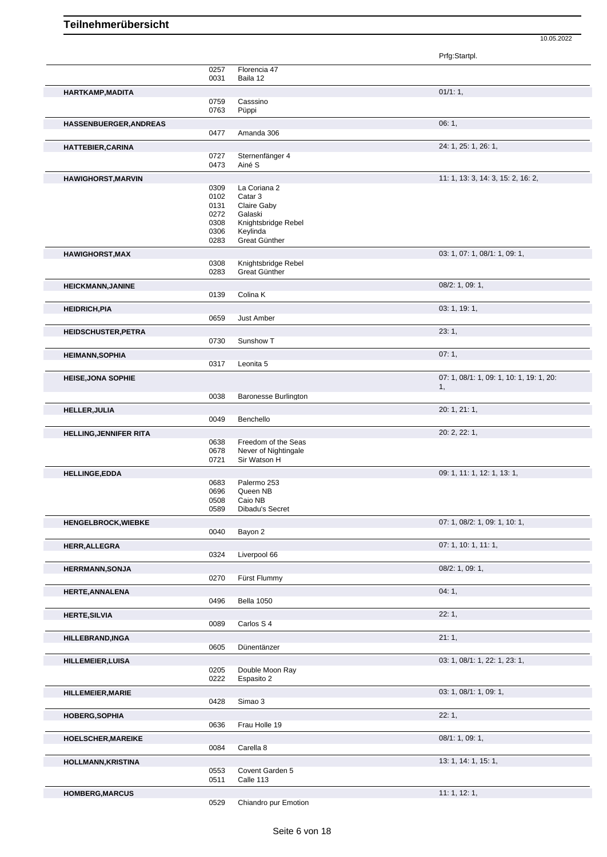|                               |              |                             | Prfg:Startpl.                                  |
|-------------------------------|--------------|-----------------------------|------------------------------------------------|
|                               | 0257         | Florencia 47                |                                                |
|                               | 0031         | Baila 12                    |                                                |
| HARTKAMP, MADITA              |              |                             | 01/1:1,                                        |
|                               | 0759         | Casssino                    |                                                |
|                               | 0763         | Püppi                       |                                                |
| HASSENBUERGER, ANDREAS        |              |                             | 06:1,                                          |
|                               | 0477         | Amanda 306                  |                                                |
|                               |              |                             |                                                |
| <b>HATTEBIER, CARINA</b>      |              |                             | 24: 1, 25: 1, 26: 1,                           |
|                               | 0727<br>0473 | Sternenfänger 4<br>Ainé S   |                                                |
|                               |              |                             |                                                |
| <b>HAWIGHORST, MARVIN</b>     |              |                             | 11: 1, 13: 3, 14: 3, 15: 2, 16: 2,             |
|                               | 0309         | La Coriana 2                |                                                |
|                               | 0102<br>0131 | Catar 3<br>Claire Gaby      |                                                |
|                               | 0272         | Galaski                     |                                                |
|                               | 0308         | Knightsbridge Rebel         |                                                |
|                               | 0306         | Keylinda                    |                                                |
|                               | 0283         | Great Günther               |                                                |
| <b>HAWIGHORST, MAX</b>        |              |                             | 03: 1, 07: 1, 08/1: 1, 09: 1,                  |
|                               | 0308         | Knightsbridge Rebel         |                                                |
|                               | 0283         | Great Günther               |                                                |
|                               |              |                             | 08/2: 1, 09: 1,                                |
| <b>HEICKMANN, JANINE</b>      | 0139         | Colina K                    |                                                |
|                               |              |                             |                                                |
| <b>HEIDRICH, PIA</b>          |              |                             | 03: 1, 19: 1,                                  |
|                               | 0659         | Just Amber                  |                                                |
| <b>HEIDSCHUSTER, PETRA</b>    |              |                             | 23:1,                                          |
|                               | 0730         | Sunshow T                   |                                                |
| <b>HEIMANN, SOPHIA</b>        |              |                             | 07:1,                                          |
|                               | 0317         | Leonita 5                   |                                                |
|                               |              |                             |                                                |
| <b>HEISE, JONA SOPHIE</b>     |              |                             | 07: 1, 08/1: 1, 09: 1, 10: 1, 19: 1, 20:<br>1, |
|                               | 0038         | <b>Baronesse Burlington</b> |                                                |
|                               |              |                             |                                                |
| <b>HELLER, JULIA</b>          |              |                             | 20: 1, 21: 1,                                  |
|                               | 0049         | Benchello                   |                                                |
| <b>HELLING, JENNIFER RITA</b> |              |                             | 20: 2, 22: 1,                                  |
|                               | 0638         | Freedom of the Seas         |                                                |
|                               | 0678         | Never of Nightingale        |                                                |
|                               | 0721         | Sir Watson H                |                                                |
| <b>HELLINGE,EDDA</b>          |              |                             | 09: 1, 11: 1, 12: 1, 13: 1,                    |
|                               | 0683         | Palermo 253                 |                                                |
|                               | 0696         | Queen NB                    |                                                |
|                               | 0508<br>0589 | Caio NB                     |                                                |
|                               |              | Dibadu's Secret             |                                                |
| <b>HENGELBROCK, WIEBKE</b>    |              |                             | 07: 1, 08/2: 1, 09: 1, 10: 1,                  |
|                               | 0040         | Bayon 2                     |                                                |
| <b>HERR, ALLEGRA</b>          |              |                             | 07: 1, 10: 1, 11: 1,                           |
|                               | 0324         | Liverpool 66                |                                                |
| <b>HERRMANN, SONJA</b>        |              |                             | 08/2: 1, 09: 1,                                |
|                               | 0270         | Fürst Flummy                |                                                |
|                               |              |                             | 04:1,                                          |
| HERTE, ANNALENA               | 0496         | Bella 1050                  |                                                |
|                               |              |                             |                                                |
| <b>HERTE, SILVIA</b>          |              |                             | 22:1,                                          |
|                               | 0089         | Carlos S 4                  |                                                |
| <b>HILLEBRAND, INGA</b>       |              |                             | 21:1,                                          |
|                               | 0605         | Dünentänzer                 |                                                |
| <b>HILLEMEIER, LUISA</b>      |              |                             | 03: 1, 08/1: 1, 22: 1, 23: 1,                  |
|                               | 0205         | Double Moon Ray             |                                                |
|                               | 0222         | Espasito 2                  |                                                |
| <b>HILLEMEIER, MARIE</b>      |              |                             | 03: 1, 08/1: 1, 09: 1,                         |
|                               | 0428         | Simao 3                     |                                                |
|                               |              |                             |                                                |
| HOBERG, SOPHIA                |              |                             | 22:1,                                          |
|                               | 0636         | Frau Holle 19               |                                                |
| HOELSCHER, MAREIKE            |              |                             | 08/1: 1, 09: 1,                                |
|                               | 0084         | Carella 8                   |                                                |
| HOLLMANN, KRISTINA            |              |                             | 13: 1, 14: 1, 15: 1,                           |
|                               | 0553         | Covent Garden 5             |                                                |
|                               | 0511         | Calle 113                   |                                                |
|                               |              |                             | 11:1, 12:1,                                    |
| <b>HOMBERG, MARCUS</b>        | 0529         | Chiandro pur Emotion        |                                                |
|                               |              |                             |                                                |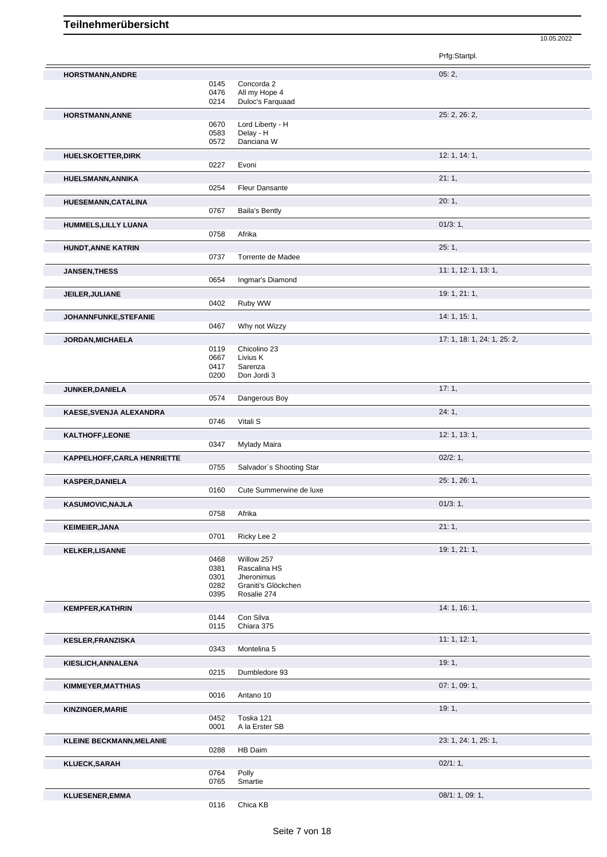|                                 |              |                          | Prfg:Startpl.               |
|---------------------------------|--------------|--------------------------|-----------------------------|
| HORSTMANN, ANDRE                |              |                          | 05:2,                       |
|                                 | 0145         | Concorda 2               |                             |
|                                 | 0476         | All my Hope 4            |                             |
|                                 | 0214         | Duloc's Farquaad         |                             |
| <b>HORSTMANN, ANNE</b>          |              |                          | 25: 2, 26: 2,               |
|                                 | 0670         | Lord Liberty - H         |                             |
|                                 | 0583         | Delay - H                |                             |
|                                 | 0572         | Danciana W               |                             |
|                                 |              |                          | 12: 1, 14: 1,               |
| <b>HUELSKOETTER, DIRK</b>       | 0227         | Evoni                    |                             |
|                                 |              |                          |                             |
| HUELSMANN, ANNIKA               |              |                          | 21:1,                       |
|                                 | 0254         | <b>Fleur Dansante</b>    |                             |
| HUESEMANN, CATALINA             |              |                          | 20:1,                       |
|                                 | 0767         | <b>Baila's Bently</b>    |                             |
|                                 |              |                          |                             |
| HUMMELS, LILLY LUANA            |              |                          | 01/3:1,                     |
|                                 | 0758         | Afrika                   |                             |
| <b>HUNDT, ANNE KATRIN</b>       |              |                          | 25:1,                       |
|                                 | 0737         | Torrente de Madee        |                             |
| <b>JANSEN, THESS</b>            |              |                          | 11: 1, 12: 1, 13: 1,        |
|                                 | 0654         | Ingmar's Diamond         |                             |
|                                 |              |                          |                             |
| JEILER, JULIANE                 |              |                          | 19: 1, 21: 1,               |
|                                 | 0402         | Ruby WW                  |                             |
| JOHANNFUNKE, STEFANIE           |              |                          | 14: 1, 15: 1,               |
|                                 | 0467         | Why not Wizzy            |                             |
|                                 |              |                          |                             |
| JORDAN, MICHAELA                |              |                          | 17: 1, 18: 1, 24: 1, 25: 2, |
|                                 | 0119<br>0667 | Chicolino 23<br>Livius K |                             |
|                                 | 0417         | Sarenza                  |                             |
|                                 | 0200         | Don Jordi 3              |                             |
|                                 |              |                          |                             |
| JUNKER, DANIELA                 |              |                          | 17:1,                       |
|                                 | 0574         | Dangerous Boy            |                             |
| KAESE, SVENJA ALEXANDRA         |              |                          | 24:1,                       |
|                                 | 0746         | Vitali S                 |                             |
| <b>KALTHOFF,LEONIE</b>          |              |                          | 12: 1, 13: 1,               |
|                                 | 0347         | <b>Mylady Maira</b>      |                             |
|                                 |              |                          |                             |
| KAPPELHOFF, CARLA HENRIETTE     |              |                          | 02/2:1,                     |
|                                 | 0755         | Salvador's Shooting Star |                             |
| <b>KASPER, DANIELA</b>          |              |                          | 25: 1, 26: 1,               |
|                                 | 0160         | Cute Summerwine de luxe  |                             |
|                                 |              |                          | 01/3:1,                     |
| <b>KASUMOVIC, NAJLA</b>         | 0758         | Afrika                   |                             |
|                                 |              |                          |                             |
| <b>KEIMEIER, JANA</b>           |              |                          | 21:1,                       |
|                                 | 0701         | Ricky Lee 2              |                             |
| <b>KELKER, LISANNE</b>          |              |                          | 19: 1, 21: 1,               |
|                                 | 0468         | Willow 257               |                             |
|                                 | 0381         | Rascalina HS             |                             |
|                                 | 0301         | Jheronimus               |                             |
|                                 | 0282         | Graniti's Glöckchen      |                             |
|                                 | 0395         | Rosalie 274              |                             |
| <b>KEMPFER, KATHRIN</b>         |              |                          | 14:1, 16:1,                 |
|                                 | 0144         | Con Silva                |                             |
|                                 | 0115         | Chiara 375               |                             |
|                                 |              |                          | 11: 1, 12: 1,               |
| <b>KESLER, FRANZISKA</b>        |              |                          |                             |
|                                 | 0343         | Montelina 5              |                             |
| KIESLICH, ANNALENA              |              |                          | 19:1,                       |
|                                 | 0215         | Dumbledore 93            |                             |
| KIMMEYER, MATTHIAS              |              |                          | 07:1,09:1,                  |
|                                 | 0016         | Antano 10                |                             |
|                                 |              |                          |                             |
| KINZINGER, MARIE                |              |                          | 19:1,                       |
|                                 | 0452         | Toska 121                |                             |
|                                 | 0001         | A la Erster SB           |                             |
| <b>KLEINE BECKMANN, MELANIE</b> |              |                          | 23: 1, 24: 1, 25: 1,        |
|                                 | 0288         | HB Daim                  |                             |
|                                 |              |                          | 02/1:1,                     |
| KLUECK, SARAH                   |              | Polly                    |                             |
|                                 | 0764<br>0765 | Smartie                  |                             |
|                                 |              |                          |                             |
| <b>KLUESENER, EMMA</b>          |              |                          | 08/1: 1, 09: 1,             |
|                                 | 0116         | Chica KB                 |                             |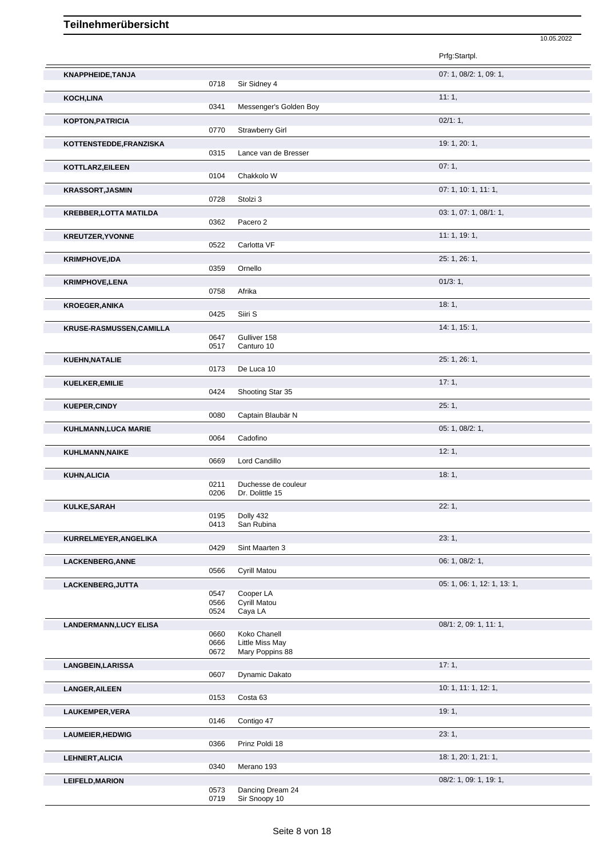|                               |              |                                   | Prfg:Startpl.               |
|-------------------------------|--------------|-----------------------------------|-----------------------------|
| KNAPPHEIDE, TANJA             |              |                                   | 07: 1, 08/2: 1, 09: 1,      |
|                               | 0718         | Sir Sidney 4                      |                             |
| KOCH, LINA                    | 0341         | Messenger's Golden Boy            | 11:1,                       |
| KOPTON, PATRICIA              |              |                                   | 02/1:1,                     |
|                               | 0770         | Strawberry Girl                   |                             |
| KOTTENSTEDDE, FRANZISKA       |              |                                   | 19: 1, 20: 1,               |
|                               | 0315         | Lance van de Bresser              | 07:1,                       |
| KOTTLARZ, EILEEN              | 0104         | Chakkolo W                        |                             |
| <b>KRASSORT, JASMIN</b>       |              |                                   | 07: 1, 10: 1, 11: 1,        |
|                               | 0728         | Stolzi 3                          |                             |
| <b>KREBBER, LOTTA MATILDA</b> | 0362         | Pacero 2                          | 03: 1, 07: 1, 08/1: 1,      |
| <b>KREUTZER, YVONNE</b>       |              |                                   | 11:1, 19:1,                 |
|                               | 0522         | Carlotta VF                       |                             |
| <b>KRIMPHOVE, IDA</b>         |              |                                   | 25: 1, 26: 1,               |
|                               | 0359         | Ornello                           |                             |
| <b>KRIMPHOVE, LENA</b>        | 0758         | Afrika                            | $01/3:1$ ,                  |
| <b>KROEGER, ANIKA</b>         |              |                                   | 18:1,                       |
|                               | 0425         | Siiri S                           |                             |
| KRUSE-RASMUSSEN, CAMILLA      |              |                                   | 14: 1, 15: 1,               |
|                               | 0647<br>0517 | Gulliver 158<br>Canturo 10        |                             |
| KUEHN, NATALIE                |              |                                   | 25: 1, 26: 1,               |
|                               | 0173         | De Luca 10                        |                             |
| KUELKER, EMILIE               | 0424         |                                   | 17:1,                       |
|                               |              | Shooting Star 35                  | 25:1,                       |
| <b>KUEPER, CINDY</b>          | 0080         | Captain Blaubär N                 |                             |
| <b>KUHLMANN,LUCA MARIE</b>    |              |                                   | 05: 1, 08/2: 1,             |
|                               | 0064         | Cadofino                          |                             |
| KUHLMANN, NAIKE               | 0669         | Lord Candillo                     | 12:1,                       |
| <b>KUHN, ALICIA</b>           |              |                                   | 18:1,                       |
|                               | 0211         | Duchesse de couleur               |                             |
|                               | 0206         | Dr. Dolittle 15                   |                             |
| KULKE, SARAH                  | 0195         | Dolly 432                         | 22:1,                       |
|                               | 0413         | San Rubina                        |                             |
| KURRELMEYER, ANGELIKA         |              |                                   | 23:1,                       |
|                               | 0429         | Sint Maarten 3                    | 06: 1, 08/2: 1,             |
| LACKENBERG, ANNE              | 0566         | Cyrill Matou                      |                             |
| LACKENBERG, JUTTA             |              |                                   | 05: 1, 06: 1, 12: 1, 13: 1, |
|                               | 0547<br>0566 | Cooper LA<br>Cyrill Matou         |                             |
|                               | 0524         | Caya LA                           |                             |
| <b>LANDERMANN, LUCY ELISA</b> |              |                                   | 08/1: 2, 09: 1, 11: 1,      |
|                               | 0660<br>0666 | Koko Chanell<br>Little Miss May   |                             |
|                               | 0672         | Mary Poppins 88                   |                             |
| <b>LANGBEIN, LARISSA</b>      |              |                                   | 17:1,                       |
|                               | 0607         | Dynamic Dakato                    |                             |
| <b>LANGER, AILEEN</b>         | 0153         | Costa 63                          | 10: 1, 11: 1, 12: 1,        |
| <b>LAUKEMPER, VERA</b>        |              |                                   | 19:1,                       |
|                               | 0146         | Contigo 47                        |                             |
| <b>LAUMEIER, HEDWIG</b>       |              |                                   | 23:1,                       |
|                               | 0366         | Prinz Poldi 18                    |                             |
| LEHNERT, ALICIA               | 0340         | Merano 193                        | 18: 1, 20: 1, 21: 1,        |
| <b>LEIFELD, MARION</b>        |              |                                   | 08/2: 1, 09: 1, 19: 1,      |
|                               | 0573<br>0719 | Dancing Dream 24<br>Sir Snoopy 10 |                             |
|                               |              |                                   |                             |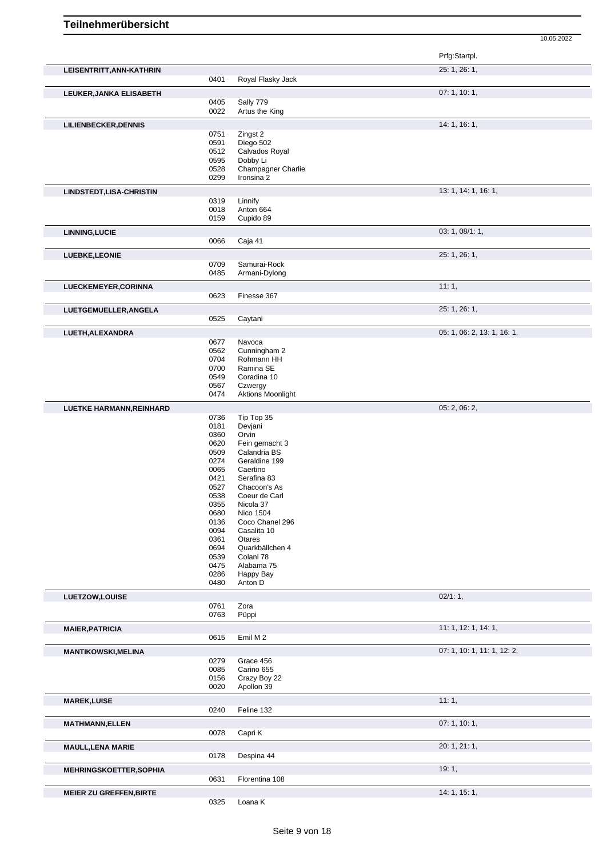Prfg:Startpl. **LEISENTRITT,ANN-KATHRIN** 25: 1, 26: 1, 0401 Royal Flasky Jack **LEUKER,JANKA ELISABETH** 07: 1, 10: 1, 0405 Sally 779<br>0022 Artus the Artus the King **LILIENBECKER, DENNIS** 14: 1, 16: 1, 16: 1, 16: 1, 16: 1, 16: 1, 16: 1, 16: 1, 16: 1, 16: 1, 16: 1, 16: 1, 16: 1, 16: 1, 16: 1, 16: 1, 16: 1, 16: 1, 16: 1, 16: 1, 16: 1, 16: 1, 16: 1, 16: 1, 16: 1, 16: 1, 16: 1, 16: 1, 16: 0751 Zingst 2 0591 Diego 502<br>0512 Calvados I 0512 Calvados Royal<br>0595 Dobby Li 0595 Dobby Li<br>0528 Champag 0528 Champagner Charlie<br>0299 Ironsina 2 Ironsina 2 **LINDSTEDT,LISA-CHRISTIN** 13: 1, 14: 1, 16: 1, 0319 Linnify<br>0018 Anton ( 0018 Anton 664<br>0159 Cupido 89 Cupido 89 **LINNING,LUCIE** 03: 1, 08/1: 1, Caja 41 **LUEBKE,LEONIE** 25: 1, 26: 1, Samurai-Rock 0485 Armani-Dylong **LUECKEMEYER,CORINNA** 11: 1, 0623 Finesse 367 **LUETGEMUELLER,ANGELA** 25: 1, 26: 1, 0525 Caytani **LUETH,ALEXANDRA** 05: 1, 06: 2, 13: 1, 16: 1, 0677 Navoca<br>0562 Cunning 0562 Cunningham 2<br>0704 Rohmann HH 0704 Rohmann HH<br>0700 Ramina SE 0700 Ramina SE<br>0549 Coradina 10 0549 Coradina 10<br>0567 Czwergy 0567 Czwergy<br>0474 Aktions N Aktions Moonlight **LUETKE HARMANN,REINHARD** 0736 Tip Top 35 06: 2, 06: 2, 06: 2, 06: 2, 06: 2, 06: 2, 06: 2, 06: 2, 06: 2, 06: 2, 06: 2, 06: 2, 06: 2, 06: 2, 06: 2, 06: 2, 06: 2, 06: 2, 06: 2, 06: 2, 06: 2, 06: 2, 06: 2, 06: 2, 05: 2, 06: 2 0736 Tip Top 35<br>0181 Devjani 0181 Devjani<br>0360 Orvin 0360 Orvin<br>0620 Fein o 0620 Fein gemacht 3<br>0509 Calandria BS 0509 Calandria BS<br>0274 Geraldine 199 0274 Geraldine 199<br>0065 Caertino 0065 Caertino<br>0421 Serafina 0421 Serafina 83<br>0527 Chacoon's A Chacoon's As 0538 Coeur de Carl 0355 Nicola 37 0680 Nico 1504<br>0136 Coco Char Coco Chanel 296 0094 Casalita 10 0361 Otares<br>0694 Quarkb 0694 Quarkbällchen 4<br>0539 Colani 78 0539 Colani 78<br>0475 Alabama 0475 Alabama 75<br>0286 Happy Bay 0286 Happy Bay<br>0480 Anton D Anton D **LUETZOW,LOUISE** 02/1: 1, 0761 Zora<br>0763 Püpp Püppi **MAIER, PATRICIA** 11: 1, 14: 1, 14: 1, 14: 1, 16: 1, 14: 1, 16: 1, 16: 1, 16: 1, 16: 1, 16: 1, 16: 1, 16: 1, 16: 1, 16: 1, 16: 1, 16: 1, 16: 1, 16: 1, 16: 1, 16: 1, 16: 1, 16: 1, 16: 1, 16: 1, 16: 1, 16: 1, 16: 1, 16: 1, 1 Emil M 2 **MANTIKOWSKI,MELINA** 0279 Grace 456 **CONSERVITY OF A CONSTRUENT OF A CONSTRUENT OF A CONSTRUENT OF A CONSTRUENT** OF A CONSTRUENT OF A CONSTRUENT OF A CONSTRUENT OF A CONSTRUENT OF A CONSTRUENT OF A CONSTRUENT OF A CONSTRUE 0279 Grace 456<br>0085 Carino 655 0085 Carino 655<br>0156 Crazy Boy 0156 Crazy Boy 22<br>0020 Apollon 39 Apollon 39 **MAREK,LUISE** 11: 1, 0240 Feline 132 **MATHMANN,ELLEN** 07: 1, 10: 1, 0078 Capri K Capri K **MAULL,LENA MARIE** 20: 1, 21: 1, 0178 Despina 44 **MEHRINGSKOETTER,SOPHIA** 19: 1, 0631 Florentina 108 **MEIER ZU GREFFEN,BIRTE 14: 1, 15: 1, 16: 1, 16: 1, 16: 1, 16: 1, 16: 1, 16: 1, 16: 1, 16: 1, 16: 1, 16: 1, 16: 1, 16: 1, 16: 1, 16: 1, 16: 1, 16: 1, 16: 1, 16: 1, 16: 1, 16: 1, 16: 1, 16: 1, 16: 1, 16: 1, 16: 1, 16: 1, 16** 

10.05.2022

0325 Loana K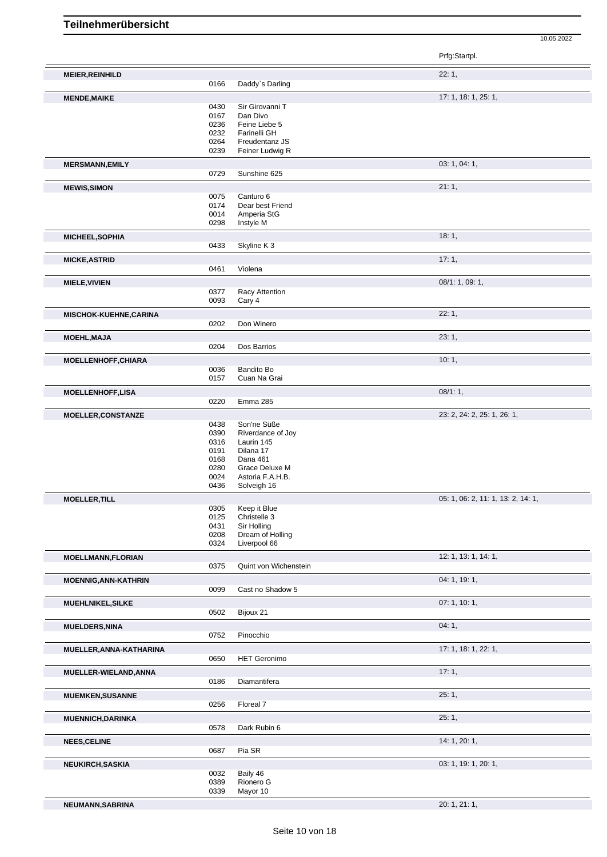10.05.2022 Prfg:Startpl. **MEIER,REINHILD** 22: 1,<br>
22: 1,<br>
22: 1, Daddy's Darling **MENDE,MAIKE** 17: 1, 18: 1, 25: 1, 0430 Sir Girovanni T<br>0167 Dan Divo<br>0236 Feine Liebe 5 0167 Dan Divo 0236 Feine Liebe 5 0232 Farinelli GH 0264 Freudentanz JS<br>0239 Feiner Ludwig R Feiner Ludwig R **MERSMANN,EMILY** 03: 1, 04: 1, 0729 Sunshine 625 **MEWIS,SIMON** 21: 1, 0075 Canturo 6<br>0174 Dear best 0174 Dear best Friend<br>0014 Amperia StG 0014 Amperia StG<br>0298 Instyle M Instyle M **MICHEEL,SOPHIA** 18: 1, Skyline K 3 **MICKE,ASTRID** 17: 1, 2006) **17: 1, 2006 17: 1, 2006 17: 1, 2006 17: 1, 2006 17: 1, 2006 17: 1,** 2006 Violena **MIELE, VIVIEN** 08/1: 1, 09: 1, 09: 1, 09: 1, 09: 1, 09: 1, 09: 1, 09: 1, 09: 1, 09: 1, 09: 1, 09: 1, 09: 1, 09: 1, 0377 Racy Attention<br>0093 Cary 4 Cary 4 **MISCHOK-KUEHNE,CARINA** 22: 1,<br>
22: 1,<br>
22: 2022 Don Winero Don Winero **MOEHL,MAJA** 23: 1, Dos Barrios **MOELLENHOFF, CHIARA** 10: 1, 20036 Bandito Bo 20036 Bandito Bo 20036 Bandito Bo 20036 Bandito Bo 20036 2014 0036 Bandito Bo<br>0157 Cuan Na G Cuan Na Grai **MOELLENHOFF,LISA** 08/1: 1,<br>
08/1: 1,<br>
0220 Emma 285 Emma 285 **MOELLER, CONSTANZE** 23: 2, 24: 2, 25: 1, 26: 1, 26: 1, 26: 1, 26: 1, 26: 1, 26: 2, 25: 2, 24: 2, 25: 1, 26: 1, 26: 1, Son'ne Süße 0390 Riverdance of Joy 0316 Laurin 145 0191 Dilana 17<br>0168 Dana 461 0168 Dana 461<br>0280 Grace De 0280 Grace Deluxe M<br>0024 Astoria F.A.H.B. 0024 Astoria F.A.H.B.<br>0436 Solveigh 16 Solveigh 16

| <b>MOELLER, TILL</b>        |                                      |                                                                                 | 05: 1, 06: 2, 11: 1, 13: 2, 14: 1, |
|-----------------------------|--------------------------------------|---------------------------------------------------------------------------------|------------------------------------|
|                             | 0305<br>0125<br>0431<br>0208<br>0324 | Keep it Blue<br>Christelle 3<br>Sir Holling<br>Dream of Holling<br>Liverpool 66 |                                    |
| <b>MOELLMANN, FLORIAN</b>   |                                      |                                                                                 | 12: 1, 13: 1, 14: 1,               |
|                             | 0375                                 | Quint von Wichenstein                                                           |                                    |
| <b>MOENNIG, ANN-KATHRIN</b> |                                      |                                                                                 | 04: 1, 19: 1,                      |
|                             | 0099                                 | Cast no Shadow 5                                                                |                                    |
| MUEHLNIKEL, SILKE           |                                      |                                                                                 | 07: 1, 10: 1,                      |
|                             | 0502                                 | Bijoux 21                                                                       |                                    |
| <b>MUELDERS, NINA</b>       |                                      |                                                                                 | 04:1,                              |
|                             | 0752                                 | Pinocchio                                                                       |                                    |
| MUELLER, ANNA-KATHARINA     |                                      |                                                                                 | 17: 1, 18: 1, 22: 1,               |
|                             | 0650                                 | <b>HET Geronimo</b>                                                             |                                    |
| MUELLER-WIELAND, ANNA       |                                      |                                                                                 | 17:1                               |
|                             | 0186                                 | Diamantifera                                                                    |                                    |
| <b>MUEMKEN, SUSANNE</b>     |                                      |                                                                                 | 25:1,                              |
|                             | 0256                                 | Floreal 7                                                                       |                                    |
| <b>MUENNICH, DARINKA</b>    |                                      |                                                                                 | 25:1,                              |
|                             | 0578                                 | Dark Rubin 6                                                                    |                                    |
| <b>NEES, CELINE</b>         |                                      |                                                                                 | 14: 1, 20: 1,                      |
|                             | 0687                                 | Pia SR                                                                          |                                    |
| <b>NEUKIRCH, SASKIA</b>     |                                      |                                                                                 | 03: 1, 19: 1, 20: 1,               |
|                             | 0032<br>0389<br>0339                 | Baily 46<br>Rionero G<br>Mayor 10                                               |                                    |
| NEUMANN, SABRINA            |                                      |                                                                                 | 20: 1, 21: 1,                      |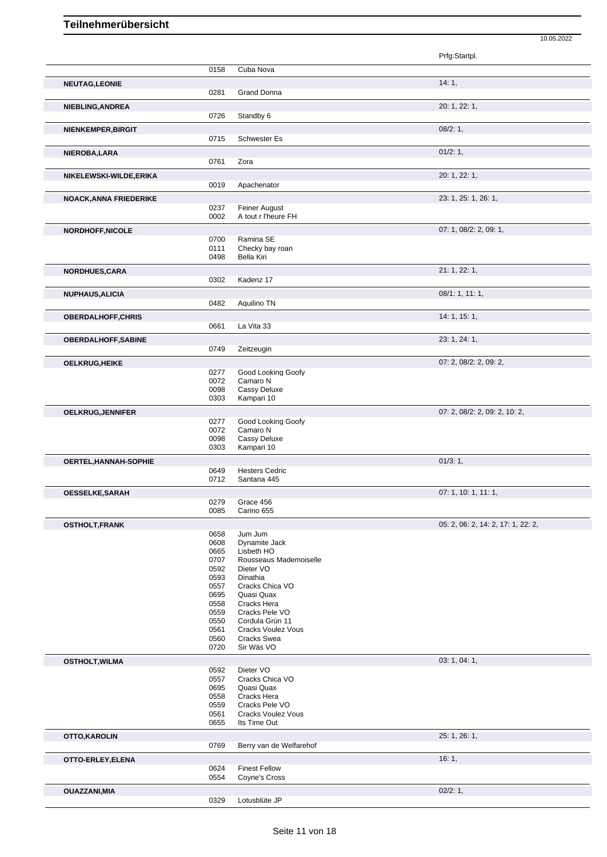|                               |              |                                      | 10.05.2022                         |
|-------------------------------|--------------|--------------------------------------|------------------------------------|
|                               |              |                                      | Prfg:Startpl.                      |
|                               | 0158         | Cuba Nova                            |                                    |
| <b>NEUTAG,LEONIE</b>          |              |                                      | 14:1,                              |
|                               | 0281         | Grand Donna                          |                                    |
| NIEBLING, ANDREA              |              |                                      | 20: 1, 22: 1,                      |
|                               | 0726         | Standby 6                            |                                    |
| NIENKEMPER, BIRGIT            |              |                                      | 08/2:1,                            |
|                               | 0715         | Schwester Es                         |                                    |
| NIEROBA, LARA                 | 0761         | Zora                                 | 01/2: 1,                           |
|                               |              |                                      |                                    |
| NIKELEWSKI-WILDE,ERIKA        | 0019         | Apachenator                          | 20: 1, 22: 1,                      |
| <b>NOACK, ANNA FRIEDERIKE</b> |              |                                      | 23: 1, 25: 1, 26: 1,               |
|                               | 0237         | Feiner August                        |                                    |
|                               | 0002         | A tout r l'heure FH                  |                                    |
| <b>NORDHOFF, NICOLE</b>       |              |                                      | 07: 1, 08/2: 2, 09: 1,             |
|                               | 0700<br>0111 | Ramina SE<br>Checky bay roan         |                                    |
|                               | 0498         | <b>Bella Kiri</b>                    |                                    |
| <b>NORDHUES,CARA</b>          |              |                                      | 21: 1, 22: 1,                      |
|                               | 0302         | Kadenz 17                            |                                    |
| <b>NUPHAUS, ALICIA</b>        |              |                                      | 08/1: 1, 11: 1,                    |
|                               | 0482         | Aquilino TN                          |                                    |
| <b>OBERDALHOFF,CHRIS</b>      | 0661         | La Vita 33                           | 14: 1, 15: 1,                      |
| <b>OBERDALHOFF, SABINE</b>    |              |                                      | 23: 1, 24: 1,                      |
|                               | 0749         | Zeitzeugin                           |                                    |
| <b>OELKRUG, HEIKE</b>         |              |                                      | 07: 2, 08/2: 2, 09: 2,             |
|                               | 0277         | Good Looking Goofy                   |                                    |
|                               | 0072<br>0098 | Camaro N<br>Cassy Deluxe             |                                    |
|                               | 0303         | Kampari 10                           |                                    |
| OELKRUG, JENNIFER             |              |                                      | 07: 2, 08/2: 2, 09: 2, 10: 2,      |
|                               | 0277<br>0072 | Good Looking Goofy<br>Camaro N       |                                    |
|                               | 0098         | Cassy Deluxe                         |                                    |
|                               | 0303         | Kampari 10                           |                                    |
| OERTEL, HANNAH-SOPHIE         |              |                                      | 01/3:1,                            |
|                               | 0649<br>0712 | <b>Hesters Cedric</b><br>Santana 445 |                                    |
| <b>OESSELKE,SARAH</b>         |              |                                      | 07: 1, 10: 1, 11: 1,               |
|                               | 0279         | Grace 456                            |                                    |
|                               | 0085         | Carino 655                           |                                    |
| <b>OSTHOLT, FRANK</b>         | 0658         | Jum Jum                              | 05: 2, 06: 2, 14: 2, 17: 1, 22: 2, |
|                               | 0608         | Dynamite Jack                        |                                    |
|                               | 0665<br>0707 | Lisbeth HO                           |                                    |
|                               | 0592         | Rousseaus Mademoiselle<br>Dieter VO  |                                    |
|                               | 0593         | Dinathia                             |                                    |
|                               | 0557<br>0695 | Cracks Chica VO<br>Quasi Quax        |                                    |
|                               | 0558         | Cracks Hera                          |                                    |
|                               | 0559<br>0550 | Cracks Pele VO<br>Cordula Grün 11    |                                    |
|                               | 0561         | Cracks Voulez Vous                   |                                    |
|                               | 0560         | Cracks Swea                          |                                    |
|                               | 0720         | Sir Wäs VO                           |                                    |
| <b>OSTHOLT, WILMA</b>         | 0592         | Dieter VO                            | 03: 1, 04: 1,                      |
|                               | 0557         | Cracks Chica VO                      |                                    |
|                               | 0695<br>0558 | Quasi Quax<br>Cracks Hera            |                                    |
|                               | 0559         | Cracks Pele VO                       |                                    |
|                               | 0561<br>0655 | Cracks Voulez Vous<br>Its Time Out   |                                    |
|                               |              |                                      | 25: 1, 26: 1,                      |
| OTTO, KAROLIN                 | 0769         | Berry van de Welfarehof              |                                    |
| OTTO-ERLEY, ELENA             |              |                                      | 16:1,                              |
|                               | 0624         | <b>Finest Fellow</b>                 |                                    |
|                               | 0554         | Coyne's Cross                        |                                    |
| <b>OUAZZANI, MIA</b>          | 0329         | Lotusblüte JP                        | 02/2:1,                            |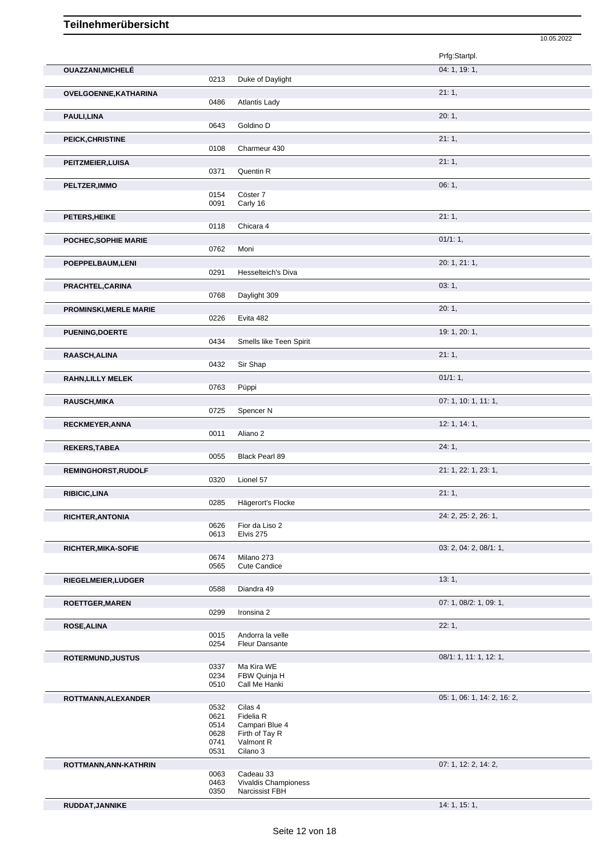|                               |              |                                    | 10.05.2022                  |
|-------------------------------|--------------|------------------------------------|-----------------------------|
|                               |              |                                    | Prfg:Startpl.               |
| <b>OUAZZANI, MICHELÉ</b>      |              |                                    | 04: 1, 19: 1,               |
|                               | 0213         | Duke of Daylight                   |                             |
| OVELGOENNE, KATHARINA         |              |                                    | 21:1,                       |
|                               | 0486         | <b>Atlantis Lady</b>               |                             |
| PAULI, LINA                   |              |                                    | 20:1,                       |
|                               | 0643         | Goldino D                          |                             |
| PEICK, CHRISTINE              |              |                                    | 21:1,                       |
|                               | 0108         | Charmeur 430                       |                             |
| PEITZMEIER, LUISA             |              |                                    | 21:1,                       |
|                               | 0371         | Quentin R                          |                             |
| PELTZER, IMMO                 |              |                                    | 06:1,                       |
|                               | 0154         | Cöster 7                           |                             |
|                               | 0091         | Carly 16                           |                             |
| PETERS, HEIKE                 |              |                                    | 21:1,                       |
|                               | 0118         | Chicara 4                          |                             |
| POCHEC, SOPHIE MARIE          |              |                                    | 01/1:1,                     |
|                               | 0762         | Moni                               |                             |
| POEPPELBAUM, LENI             |              |                                    | 20: 1, 21: 1,               |
|                               | 0291         | Hesselteich's Diva                 |                             |
| PRACHTEL, CARINA              |              |                                    | 03:1,                       |
|                               | 0768         | Daylight 309                       |                             |
|                               |              |                                    | 20:1,                       |
| <b>PROMINSKI, MERLE MARIE</b> | 0226         | Evita 482                          |                             |
|                               |              |                                    |                             |
| PUENING, DOERTE               | 0434         | Smells like Teen Spirit            | 19: 1, 20: 1,               |
|                               |              |                                    |                             |
| RAASCH, ALINA                 | 0432         | Sir Shap                           | 21:1,                       |
|                               |              |                                    |                             |
| RAHN, LILLY MELEK             | 0763         | Püppi                              | 01/1:1,                     |
|                               |              |                                    |                             |
| <b>RAUSCH, MIKA</b>           |              |                                    | 07: 1, 10: 1, 11: 1,        |
|                               | 0725         | Spencer N                          |                             |
| RECKMEYER, ANNA               |              |                                    | 12: 1, 14: 1,               |
|                               | 0011         | Aliano <sub>2</sub>                |                             |
| <b>REKERS, TABEA</b>          |              |                                    | 24:1,                       |
|                               | 0055         | Black Pearl 89                     |                             |
| REMINGHORST, RUDOLF           |              |                                    | 21: 1, 22: 1, 23: 1,        |
|                               | 0320         | Lionel 57                          |                             |
| RIBICIC, LINA                 |              |                                    | 21:1,                       |
|                               | 0285         | Hägerort's Flocke                  |                             |
| RICHTER, ANTONIA              |              |                                    | 24: 2, 25: 2, 26: 1,        |
|                               | 0626         | Fior da Liso 2<br>Elvis 275        |                             |
|                               | 0613         |                                    |                             |
| <b>RICHTER, MIKA-SOFIE</b>    |              |                                    | 03: 2, 04: 2, 08/1: 1,      |
|                               | 0674<br>0565 | Milano 273<br><b>Cute Candice</b>  |                             |
|                               |              |                                    |                             |
| RIEGELMEIER, LUDGER           | 0588         | Diandra 49                         | 13:1,                       |
|                               |              |                                    |                             |
| ROETTGER, MAREN               | 0299         |                                    | 07: 1, 08/2: 1, 09: 1,      |
|                               |              | Ironsina 2                         |                             |
| ROSE, ALINA                   |              |                                    | 22:1,                       |
|                               | 0015<br>0254 | Andorra la velle<br>Fleur Dansante |                             |
|                               |              |                                    |                             |
| ROTERMUND, JUSTUS             | 0337         | Ma Kira WE                         | 08/1: 1, 11: 1, 12: 1,      |
|                               | 0234         | FBW Quinja H                       |                             |
|                               | 0510         | Call Me Hanki                      |                             |
| ROTTMANN, ALEXANDER           |              |                                    | 05: 1, 06: 1, 14: 2, 16: 2, |
|                               | 0532         | Cilas 4                            |                             |
|                               | 0621         | Fidelia R                          |                             |
|                               | 0514<br>0628 | Campari Blue 4<br>Firth of Tay R   |                             |
|                               | 0741         | Valmont R                          |                             |
|                               | 0531         | Cilano 3                           |                             |
| ROTTMANN, ANN-KATHRIN         |              |                                    | 07: 1, 12: 2, 14: 2,        |
|                               | 0063         | Cadeau 33                          |                             |
|                               | 0463         | Vivaldis Championess               |                             |
|                               | 0350         | Narcissist FBH                     |                             |
| RUDDAT, JANNIKE               |              |                                    | 14: 1, 15: 1,               |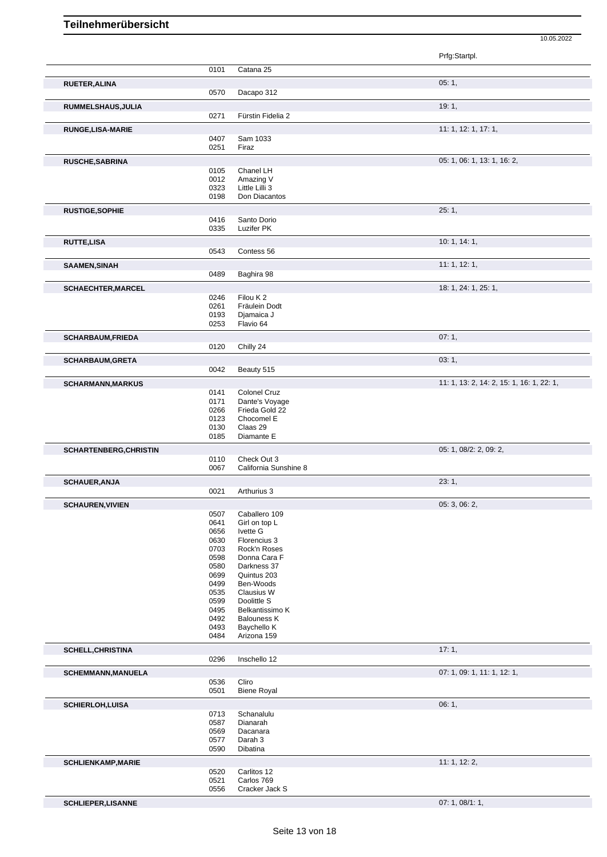|                                                                                                              |              |                              | Prfg:Startpl.                             |
|--------------------------------------------------------------------------------------------------------------|--------------|------------------------------|-------------------------------------------|
|                                                                                                              | 0101         | Catana 25                    |                                           |
| <b>RUETER, ALINA</b>                                                                                         |              |                              | 05:1,                                     |
|                                                                                                              | 0570         | Dacapo 312                   |                                           |
| RUMMELSHAUS, JULIA                                                                                           |              |                              | 19:1,                                     |
|                                                                                                              | 0271         | Fürstin Fidelia 2            |                                           |
| <b>RUNGE, LISA-MARIE</b>                                                                                     |              |                              | 11: 1, 12: 1, 17: 1,                      |
|                                                                                                              | 0407         | Sam 1033                     |                                           |
|                                                                                                              | 0251         | Firaz                        |                                           |
| <b>RUSCHE, SABRINA</b>                                                                                       |              |                              | 05: 1, 06: 1, 13: 1, 16: 2,               |
|                                                                                                              | 0105         | Chanel LH<br>Amazing V       |                                           |
|                                                                                                              | 0012<br>0323 | Little Lilli 3               |                                           |
|                                                                                                              | 0198         | Don Diacantos                |                                           |
| <b>RUSTIGE, SOPHIE</b>                                                                                       |              |                              | 25:1,                                     |
|                                                                                                              | 0416         | Santo Dorio                  |                                           |
|                                                                                                              | 0335         | Luzifer PK                   |                                           |
| <b>RUTTE,LISA</b>                                                                                            |              |                              | 10:1, 14:1,                               |
|                                                                                                              | 0543         | Contess 56                   |                                           |
| <b>SAAMEN, SINAH</b>                                                                                         |              |                              | 11: 1, 12: 1,                             |
|                                                                                                              | 0489         | Baghira 98                   |                                           |
| SCHAECHTER, MARCEL                                                                                           |              |                              | 18: 1, 24: 1, 25: 1,                      |
|                                                                                                              | 0246         | Filou K2                     |                                           |
|                                                                                                              | 0261<br>0193 | Fräulein Dodt<br>Djamaica J  |                                           |
|                                                                                                              | 0253         | Flavio 64                    |                                           |
| <b>SCHARBAUM, FRIEDA</b>                                                                                     |              |                              | 07:1,                                     |
|                                                                                                              | 0120         | Chilly 24                    |                                           |
| <b>SCHARBAUM, GRETA</b>                                                                                      |              |                              | 03:1,                                     |
|                                                                                                              | 0042         | Beauty 515                   |                                           |
| <b>SCHARMANN, MARKUS</b>                                                                                     |              |                              | 11: 1, 13: 2, 14: 2, 15: 1, 16: 1, 22: 1, |
|                                                                                                              | 0141         | Colonel Cruz                 |                                           |
|                                                                                                              | 0171         | Dante's Voyage               |                                           |
|                                                                                                              | 0266         | Frieda Gold 22               |                                           |
|                                                                                                              | 0123<br>0130 | Chocomel E<br>Claas 29       |                                           |
|                                                                                                              | 0185         | Diamante E                   |                                           |
| <b>SCHARTENBERG, CHRISTIN</b>                                                                                |              |                              | 05: 1, 08/2: 2, 09: 2,                    |
|                                                                                                              | 0110         | Check Out 3                  |                                           |
|                                                                                                              | 0067         | California Sunshine 8        |                                           |
| <b>SCHAUER, ANJA</b>                                                                                         |              |                              | 23:1,                                     |
|                                                                                                              | 0021         | Arthurius 3                  |                                           |
| <b>SCHAUREN, VIVIEN</b>                                                                                      |              |                              | 05: 3, 06: 2,                             |
|                                                                                                              | 0507         | Caballero 109                |                                           |
|                                                                                                              | 0641<br>0656 | Girl on top L<br>Ivette G    |                                           |
|                                                                                                              | 0630         | Florencius 3                 |                                           |
|                                                                                                              | 0703         | Rock'n Roses                 |                                           |
|                                                                                                              | 0598         | Donna Cara F                 |                                           |
|                                                                                                              | 0580         | Darkness 37                  |                                           |
|                                                                                                              | 0699         | Quintus 203                  |                                           |
|                                                                                                              | 0499         | Ben-Woods                    |                                           |
|                                                                                                              | 0535<br>0599 | Clausius W<br>Doolittle S    |                                           |
|                                                                                                              | 0495         | Belkantissimo K              |                                           |
|                                                                                                              |              | <b>Balouness K</b>           |                                           |
|                                                                                                              | 0492         |                              |                                           |
|                                                                                                              | 0493         | Baychello K                  |                                           |
|                                                                                                              | 0484         | Arizona 159                  |                                           |
|                                                                                                              |              |                              | 17:1,                                     |
|                                                                                                              | 0296         | Inschello 12                 |                                           |
|                                                                                                              |              |                              | 07: 1, 09: 1, 11: 1, 12: 1,               |
|                                                                                                              | 0536         | Cliro                        |                                           |
|                                                                                                              | 0501         | <b>Biene Royal</b>           |                                           |
|                                                                                                              |              |                              | 06:1,                                     |
|                                                                                                              | 0713         | Schanalulu                   |                                           |
|                                                                                                              | 0587         | Dianarah                     |                                           |
|                                                                                                              | 0569<br>0577 | Dacanara<br>Darah 3          |                                           |
|                                                                                                              | 0590         | Dibatina                     |                                           |
|                                                                                                              |              |                              | 11:1, 12:2,                               |
| <b>SCHELL, CHRISTINA</b><br><b>SCHEMMANN, MANUELA</b><br><b>SCHIERLOH,LUISA</b><br><b>SCHLIENKAMP, MARIE</b> | 0520         | Carlitos 12                  |                                           |
|                                                                                                              | 0521<br>0556 | Carlos 769<br>Cracker Jack S |                                           |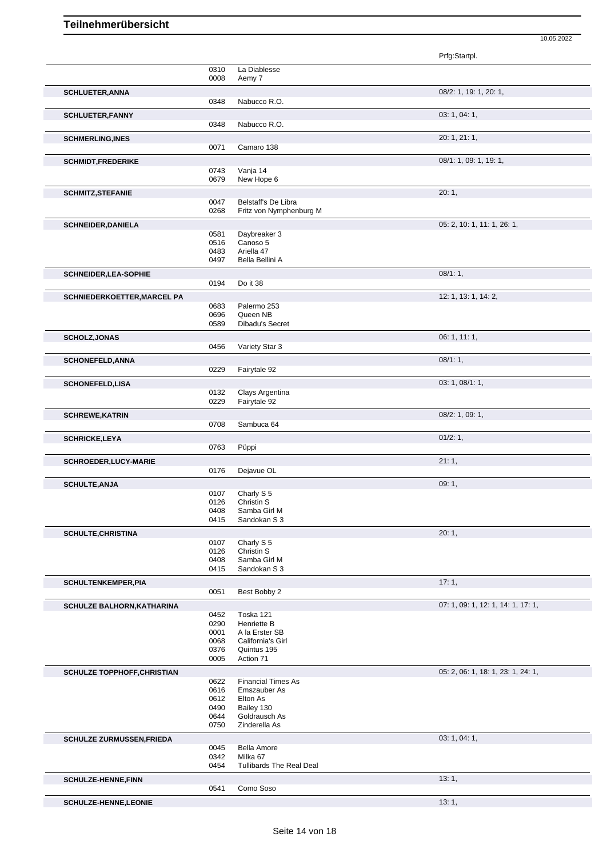|                                    |              |                                                  | Prfg:Startpl.                      |
|------------------------------------|--------------|--------------------------------------------------|------------------------------------|
|                                    | 0310         | La Diablesse                                     |                                    |
|                                    | 0008         | Aemy 7                                           |                                    |
| <b>SCHLUETER, ANNA</b>             | 0348         | Nabucco R.O.                                     | 08/2: 1, 19: 1, 20: 1,             |
| <b>SCHLUETER, FANNY</b>            | 0348         | Nabucco R.O.                                     | 03: 1, 04: 1,                      |
| <b>SCHMERLING, INES</b>            |              |                                                  | 20: 1, 21: 1,                      |
|                                    | 0071         | Camaro 138                                       |                                    |
| <b>SCHMIDT,FREDERIKE</b>           |              |                                                  | 08/1: 1, 09: 1, 19: 1,             |
|                                    | 0743         | Vanja 14                                         |                                    |
|                                    | 0679         | New Hope 6                                       |                                    |
| <b>SCHMITZ, STEFANIE</b>           |              |                                                  | 20:1,                              |
|                                    | 0047<br>0268 | Belstaff's De Libra<br>Fritz von Nymphenburg M   |                                    |
| <b>SCHNEIDER, DANIELA</b>          |              |                                                  | 05: 2, 10: 1, 11: 1, 26: 1,        |
|                                    | 0581         | Daybreaker 3                                     |                                    |
|                                    | 0516         | Canoso 5                                         |                                    |
|                                    | 0483<br>0497 | Ariella 47<br>Bella Bellini A                    |                                    |
| SCHNEIDER, LEA-SOPHIE              |              |                                                  | 08/1:1,                            |
|                                    | 0194         | Do it 38                                         |                                    |
| SCHNIEDERKOETTER, MARCEL PA        |              |                                                  | 12: 1, 13: 1, 14: 2,               |
|                                    | 0683         | Palermo 253                                      |                                    |
|                                    | 0696<br>0589 | Queen NB<br>Dibadu's Secret                      |                                    |
| <b>SCHOLZ, JONAS</b>               |              |                                                  | 06: 1, 11: 1,                      |
|                                    | 0456         | Variety Star 3                                   |                                    |
| <b>SCHONEFELD, ANNA</b>            |              |                                                  | 08/1:1,                            |
|                                    | 0229         | Fairytale 92                                     |                                    |
| <b>SCHONEFELD,LISA</b>             |              |                                                  | 03: 1, 08/1: 1,                    |
|                                    | 0132         | Clays Argentina                                  |                                    |
|                                    | 0229         | Fairytale 92                                     |                                    |
| <b>SCHREWE, KATRIN</b>             | 0708         | Sambuca 64                                       | 08/2: 1, 09: 1,                    |
|                                    |              |                                                  | 01/2: 1,                           |
| <b>SCHRICKE,LEYA</b>               | 0763         | Püppi                                            |                                    |
| <b>SCHROEDER,LUCY-MARIE</b>        |              |                                                  | 21:1,                              |
|                                    | 0176         | Dejavue OL                                       |                                    |
| <b>SCHULTE, ANJA</b>               |              |                                                  | 09:1,                              |
|                                    | 0107         | Charly S <sub>5</sub>                            |                                    |
|                                    | 0126<br>0408 | Christin S<br>Samba Girl M                       |                                    |
|                                    | 0415         | Sandokan S 3                                     |                                    |
| <b>SCHULTE, CHRISTINA</b>          |              |                                                  | 20:1,                              |
|                                    | 0107         | Charly S <sub>5</sub><br>Christin S              |                                    |
|                                    | 0126<br>0408 | Samba Girl M                                     |                                    |
|                                    | 0415         | Sandokan S 3                                     |                                    |
| <b>SCHULTENKEMPER, PIA</b>         |              |                                                  | 17:1,                              |
|                                    | 0051         | Best Bobby 2                                     |                                    |
| <b>SCHULZE BALHORN, KATHARINA</b>  |              |                                                  | 07: 1, 09: 1, 12: 1, 14: 1, 17: 1, |
|                                    | 0452         | Toska 121                                        |                                    |
|                                    | 0290<br>0001 | Henriette B<br>A la Erster SB                    |                                    |
|                                    | 0068         | California's Girl                                |                                    |
|                                    | 0376         | Quintus 195                                      |                                    |
|                                    | 0005         | Action 71                                        |                                    |
| <b>SCHULZE TOPPHOFF, CHRISTIAN</b> |              |                                                  | 05: 2, 06: 1, 18: 1, 23: 1, 24: 1, |
|                                    | 0622<br>0616 | <b>Financial Times As</b><br><b>Emszauber As</b> |                                    |
|                                    | 0612         | Elton As                                         |                                    |
|                                    | 0490         | Bailey 130                                       |                                    |
|                                    | 0644<br>0750 | Goldrausch As<br>Zinderella As                   |                                    |
| <b>SCHULZE ZURMUSSEN, FRIEDA</b>   |              |                                                  | 03: 1, 04: 1,                      |
|                                    | 0045         | <b>Bella Amore</b>                               |                                    |
|                                    | 0342         | Milka 67                                         |                                    |
|                                    | 0454         | <b>Tullibards The Real Deal</b>                  |                                    |
| <b>SCHULZE-HENNE,FINN</b>          | 0541         | Como Soso                                        | 13:1,                              |
|                                    |              |                                                  |                                    |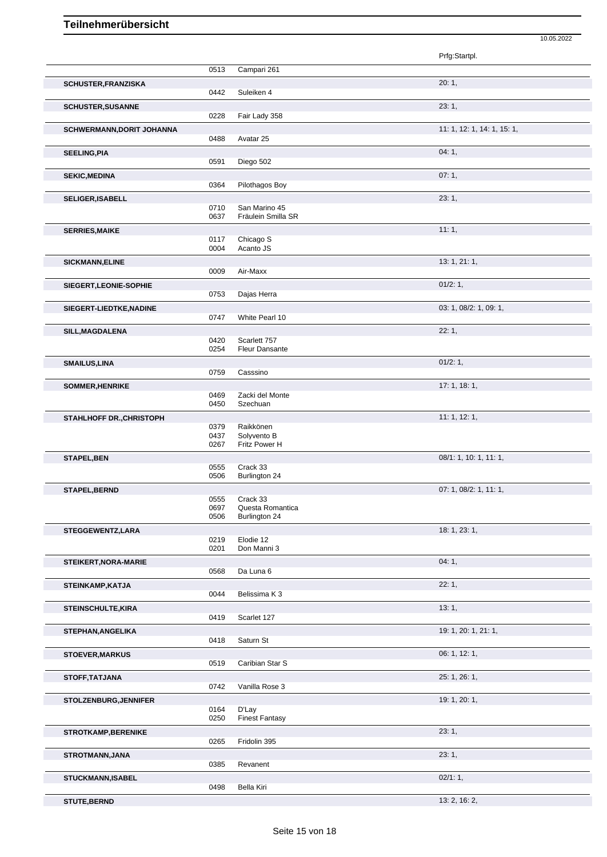|                                  |              |                                       | 10.05.2022                  |
|----------------------------------|--------------|---------------------------------------|-----------------------------|
|                                  |              |                                       | Prfg:Startpl.               |
|                                  | 0513         | Campari 261                           |                             |
| SCHUSTER, FRANZISKA              |              |                                       | 20:1,                       |
|                                  | 0442         | Suleiken 4                            |                             |
| <b>SCHUSTER, SUSANNE</b>         | 0228         | Fair Lady 358                         | 23:1,                       |
| <b>SCHWERMANN, DORIT JOHANNA</b> | 0488         | Avatar 25                             | 11: 1, 12: 1, 14: 1, 15: 1, |
|                                  |              |                                       |                             |
| <b>SEELING, PIA</b>              | 0591         | Diego 502                             | 04:1,                       |
| <b>SEKIC, MEDINA</b>             | 0364         | Pilothagos Boy                        | 07:1,                       |
| SELIGER, ISABELL                 |              |                                       | 23:1,                       |
|                                  | 0710<br>0637 | San Marino 45<br>Fräulein Smilla SR   |                             |
| <b>SERRIES, MAIKE</b>            |              |                                       | 11:1,                       |
|                                  | 0117         | Chicago S                             |                             |
|                                  | 0004         | Acanto JS                             |                             |
| <b>SICKMANN, ELINE</b>           | 0009         | Air-Maxx                              | 13: 1, 21: 1,               |
|                                  |              |                                       | 01/2:1,                     |
| SIEGERT, LEONIE-SOPHIE           | 0753         | Dajas Herra                           |                             |
| SIEGERT-LIEDTKE, NADINE          |              |                                       | 03: 1, 08/2: 1, 09: 1,      |
|                                  | 0747         | White Pearl 10                        |                             |
| SILL, MAGDALENA                  |              |                                       | 22:1,                       |
|                                  | 0420<br>0254 | Scarlett 757<br><b>Fleur Dansante</b> |                             |
|                                  |              |                                       | 01/2:1,                     |
| <b>SMAILUS, LINA</b>             | 0759         | Casssino                              |                             |
| SOMMER, HENRIKE                  |              |                                       | 17: 1, 18: 1,               |
|                                  | 0469         | Zacki del Monte                       |                             |
|                                  | 0450         | Szechuan                              |                             |
| STAHLHOFF DR., CHRISTOPH         |              |                                       | 11: 1, 12: 1,               |
|                                  | 0379<br>0437 | Raikkönen<br>Solyvento B              |                             |
|                                  | 0267         | Fritz Power H                         |                             |
| <b>STAPEL, BEN</b>               |              |                                       | 08/1: 1, 10: 1, 11: 1,      |
|                                  | 0555<br>0506 | Crack 33<br>Burlington 24             |                             |
| STAPEL, BERND                    |              |                                       | 07: 1, 08/2: 1, 11: 1,      |
|                                  | 0555         | Crack 33                              |                             |
|                                  | 0697<br>0506 | Questa Romantica<br>Burlington 24     |                             |
|                                  |              |                                       |                             |
| STEGGEWENTZ, LARA                | 0219         | Elodie 12                             | 18: 1, 23: 1,               |
|                                  | 0201         | Don Manni 3                           |                             |
| STEIKERT, NORA-MARIE             |              |                                       | 04:1,                       |
|                                  | 0568         | Da Luna 6                             |                             |
| STEINKAMP, KATJA                 | 0044         | Belissima K 3                         | 22:1,                       |
|                                  |              |                                       |                             |
| <b>STEINSCHULTE, KIRA</b>        | 0419         | Scarlet 127                           | 13:1,                       |
| STEPHAN, ANGELIKA                |              |                                       | 19: 1, 20: 1, 21: 1,        |
|                                  | 0418         | Saturn St                             |                             |
| <b>STOEVER, MARKUS</b>           |              |                                       | 06: 1, 12: 1,               |
|                                  | 0519         | Caribian Star S                       |                             |
| STOFF, TATJANA                   |              |                                       | 25: 1, 26: 1,               |
|                                  | 0742         | Vanilla Rose 3                        |                             |
| STOLZENBURG, JENNIFER            |              |                                       | 19: 1, 20: 1,               |
|                                  | 0164<br>0250 | D'Lay<br><b>Finest Fantasy</b>        |                             |
| <b>STROTKAMP, BERENIKE</b>       |              |                                       | 23:1,                       |
|                                  | 0265         | Fridolin 395                          |                             |
| STROTMANN, JANA                  |              |                                       | 23:1,                       |
|                                  | 0385         | Revanent                              |                             |
| STUCKMANN, ISABEL                |              |                                       | 02/1:1,                     |
|                                  | 0498         | Bella Kiri                            |                             |

**STUTE,BERND** 13: 2, 16: 2,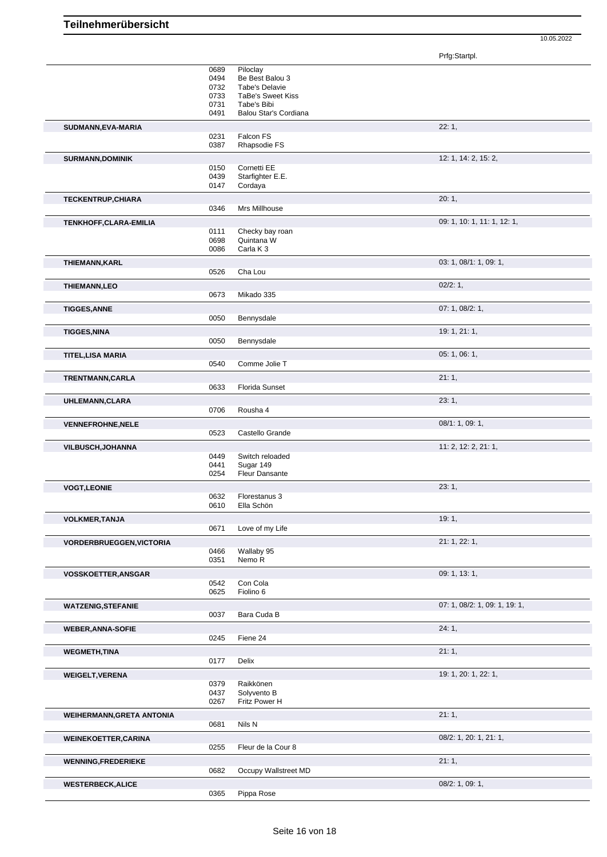|                                  |              |                                      | Prfg:Startpl.                 |
|----------------------------------|--------------|--------------------------------------|-------------------------------|
|                                  | 0689<br>0494 | Piloclay<br>Be Best Balou 3          |                               |
|                                  | 0732         | Tabe's Delavie                       |                               |
|                                  | 0733         | <b>TaBe's Sweet Kiss</b>             |                               |
|                                  | 0731<br>0491 | Tabe's Bibi<br>Balou Star's Cordiana |                               |
|                                  |              |                                      |                               |
| SUDMANN, EVA-MARIA               | 0231         | Falcon FS                            | 22:1,                         |
|                                  | 0387         | Rhapsodie FS                         |                               |
| <b>SURMANN, DOMINIK</b>          |              |                                      | 12: 1, 14: 2, 15: 2,          |
|                                  | 0150         | Cornetti EE                          |                               |
|                                  | 0439         | Starfighter E.E.                     |                               |
|                                  | 0147         | Cordaya                              |                               |
| <b>TECKENTRUP, CHIARA</b>        | 0346         | Mrs Millhouse                        | 20:1,                         |
|                                  |              |                                      |                               |
| TENKHOFF, CLARA-EMILIA           | 0111         | Checky bay roan                      | 09: 1, 10: 1, 11: 1, 12: 1,   |
|                                  | 0698         | Quintana W                           |                               |
|                                  | 0086         | Carla K <sub>3</sub>                 |                               |
| THIEMANN, KARL                   |              |                                      | 03: 1, 08/1: 1, 09: 1,        |
|                                  | 0526         | Cha Lou                              |                               |
| <b>THIEMANN,LEO</b>              |              |                                      | 02/2: 1,                      |
|                                  | 0673         | Mikado 335                           |                               |
| <b>TIGGES, ANNE</b>              |              |                                      | 07: 1, 08/2: 1,               |
|                                  | 0050         | Bennysdale                           |                               |
| <b>TIGGES, NINA</b>              |              |                                      | 19: 1, 21: 1,                 |
|                                  | 0050         | Bennysdale                           |                               |
| TITEL,LISA MARIA                 |              |                                      | 05:1,06:1,                    |
|                                  | 0540         | Comme Jolie T                        |                               |
| TRENTMANN, CARLA                 |              |                                      | 21:1,                         |
|                                  | 0633         | Florida Sunset                       |                               |
| UHLEMANN, CLARA                  | 0706         | Rousha 4                             | 23:1,                         |
|                                  |              |                                      |                               |
| <b>VENNEFROHNE, NELE</b>         | 0523         | Castello Grande                      | 08/1: 1, 09: 1,               |
| VILBUSCH, JOHANNA                |              |                                      | 11: 2, 12: 2, 21: 1,          |
|                                  | 0449         | Switch reloaded                      |                               |
|                                  | 0441         | Sugar 149                            |                               |
|                                  | 0254         | Fleur Dansante                       |                               |
| <b>VOGT,LEONIE</b>               |              |                                      | 23:1,                         |
|                                  | 0632<br>0610 | Florestanus 3<br>Ella Schön          |                               |
|                                  |              |                                      | 19:1,                         |
| <b>VOLKMER, TANJA</b>            | 0671         | Love of my Life                      |                               |
| <b>VORDERBRUEGGEN, VICTORIA</b>  |              |                                      | 21: 1, 22: 1,                 |
|                                  | 0466         | Wallaby 95                           |                               |
|                                  | 0351         | Nemo R                               |                               |
| <b>VOSSKOETTER, ANSGAR</b>       |              |                                      | 09: 1, 13: 1,                 |
|                                  | 0542         | Con Cola                             |                               |
|                                  | 0625         | Fiolino 6                            |                               |
| <b>WATZENIG, STEFANIE</b>        |              |                                      | 07: 1, 08/2: 1, 09: 1, 19: 1, |
|                                  | 0037         | Bara Cuda B                          |                               |
| <b>WEBER, ANNA-SOFIE</b>         |              |                                      | 24:1,                         |
|                                  | 0245         | Fiene 24                             |                               |
| <b>WEGMETH, TINA</b>             |              |                                      | 21:1,                         |
|                                  | 0177         | Delix                                |                               |
| <b>WEIGELT, VERENA</b>           |              |                                      | 19: 1, 20: 1, 22: 1,          |
|                                  | 0379<br>0437 | Raikkönen<br>Solyvento B             |                               |
|                                  | 0267         | Fritz Power H                        |                               |
| <b>WEIHERMANN, GRETA ANTONIA</b> |              |                                      | 21:1,                         |
|                                  | 0681         | Nils N                               |                               |
| <b>WEINEKOETTER, CARINA</b>      |              |                                      | 08/2: 1, 20: 1, 21: 1,        |
|                                  |              |                                      |                               |
|                                  | 0255         | Fleur de la Cour 8                   |                               |
| <b>WENNING,FREDERIEKE</b>        |              |                                      | 21:1,                         |
|                                  | 0682         | Occupy Wallstreet MD                 |                               |
| <b>WESTERBECK, ALICE</b>         | 0365         | Pippa Rose                           | 08/2: 1, 09: 1,               |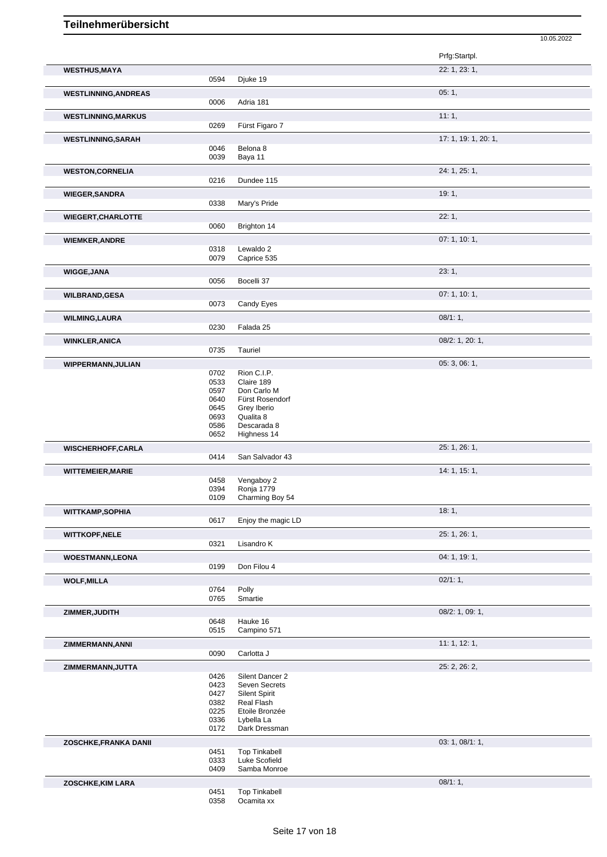|                             |              |                           | Prfg:Startpl.        |
|-----------------------------|--------------|---------------------------|----------------------|
| <b>WESTHUS, MAYA</b>        |              |                           | 22: 1, 23: 1,        |
|                             | 0594         | Djuke 19                  |                      |
|                             |              |                           |                      |
| <b>WESTLINNING, ANDREAS</b> |              |                           | 05:1,                |
|                             | 0006         | Adria 181                 |                      |
| <b>WESTLINNING, MARKUS</b>  |              |                           | 11:1,                |
|                             | 0269         | Fürst Figaro 7            |                      |
| <b>WESTLINNING, SARAH</b>   |              |                           | 17: 1, 19: 1, 20: 1, |
|                             | 0046         | Belona 8                  |                      |
|                             | 0039         | Baya 11                   |                      |
|                             |              |                           |                      |
| <b>WESTON,CORNELIA</b>      |              |                           | 24: 1, 25: 1,        |
|                             | 0216         | Dundee 115                |                      |
| <b>WIEGER, SANDRA</b>       |              |                           | 19:1,                |
|                             | 0338         | Mary's Pride              |                      |
|                             |              |                           | 22:1,                |
| <b>WIEGERT, CHARLOTTE</b>   | 0060         | Brighton 14               |                      |
|                             |              |                           |                      |
| <b>WIEMKER, ANDRE</b>       |              |                           | 07: 1, 10: 1,        |
|                             | 0318         | Lewaldo <sub>2</sub>      |                      |
|                             | 0079         | Caprice 535               |                      |
| <b>WIGGE, JANA</b>          |              |                           | 23:1,                |
|                             | 0056         | Bocelli 37                |                      |
|                             |              |                           | 07:1, 10:1,          |
| <b>WILBRAND, GESA</b>       | 0073         | Candy Eyes                |                      |
|                             |              |                           |                      |
| <b>WILMING, LAURA</b>       |              |                           | 08/1:1,              |
|                             | 0230         | Falada 25                 |                      |
| <b>WINKLER, ANICA</b>       |              |                           | 08/2: 1, 20: 1,      |
|                             | 0735         | Tauriel                   |                      |
|                             |              |                           |                      |
| WIPPERMANN, JULIAN          |              |                           | 05: 3, 06: 1,        |
|                             | 0702<br>0533 | Rion C.I.P.<br>Claire 189 |                      |
|                             | 0597         | Don Carlo M               |                      |
|                             | 0640         | Fürst Rosendorf           |                      |
|                             | 0645         | Grey Iberio               |                      |
|                             | 0693         | Qualita 8                 |                      |
|                             | 0586         | Descarada 8               |                      |
|                             | 0652         | Highness 14               |                      |
| <b>WISCHERHOFF,CARLA</b>    |              |                           | 25: 1, 26: 1,        |
|                             | 0414         | San Salvador 43           |                      |
| <b>WITTEMEIER, MARIE</b>    |              |                           | 14: 1, 15: 1,        |
|                             | 0458         | Vengaboy 2                |                      |
|                             | 0394         | Ronja 1779                |                      |
|                             | 0109         | Charming Boy 54           |                      |
|                             |              |                           | 18:1,                |
| <b>WITTKAMP,SOPHIA</b>      | 0617         | Enjoy the magic LD        |                      |
|                             |              |                           |                      |
| <b>WITTKOPF,NELE</b>        |              |                           | 25: 1, 26: 1,        |
|                             | 0321         | Lisandro K                |                      |
| <b>WOESTMANN,LEONA</b>      |              |                           | 04: 1, 19: 1,        |
|                             | 0199         | Don Filou 4               |                      |
|                             |              |                           |                      |
| <b>WOLF, MILLA</b>          | 0764         | Polly                     | 02/1:1,              |
|                             | 0765         | Smartie                   |                      |
|                             |              |                           |                      |
| ZIMMER, JUDITH              |              |                           | 08/2: 1, 09: 1,      |
|                             | 0648         | Hauke 16                  |                      |
|                             | 0515         | Campino 571               |                      |
| ZIMMERMANN, ANNI            |              |                           | 11:1, 12:1,          |
|                             | 0090         | Carlotta J                |                      |
|                             |              |                           | 25: 2, 26: 2,        |
| ZIMMERMANN, JUTTA           | 0426         | Silent Dancer 2           |                      |
|                             | 0423         | Seven Secrets             |                      |
|                             | 0427         | <b>Silent Spirit</b>      |                      |
|                             | 0382         | Real Flash                |                      |
|                             | 0225         | Etoile Bronzée            |                      |
|                             | 0336         | Lybella La                |                      |
|                             | 0172         | Dark Dressman             |                      |
| ZOSCHKE, FRANKA DANII       |              |                           | 03: 1, 08/1: 1,      |
|                             | 0451         | <b>Top Tinkabell</b>      |                      |
|                             | 0333         | Luke Scofield             |                      |
|                             | 0409         | Samba Monroe              |                      |
| ZOSCHKE, KIM LARA           |              |                           | 08/1:1,              |
|                             |              |                           |                      |

10.05.2022

 Top Tinkabell Ocamita xx